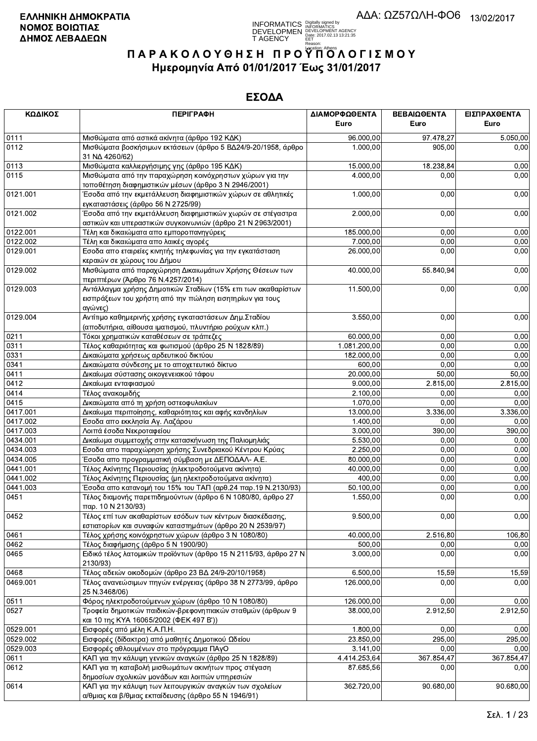**INFORMATICS** Digitally signed by<br>DEVELOPMEN DEVELOPMENT AGENCY<br>T AGENCY Early 2017/02.13 13:21:35<br>T AGENCY Early 2017/02.13 13:21:35

# ΠΑΡΑΚΟΛΟΥΘΗΣΗ ΠΡΟΥΠΌΛΟΓΙΣΜΟΥ Ημερομηνία Από 01/01/2017 Έως 31/01/2017

| ΚΩΔΙΚΟΣ  | <b>ПЕРІГРАФН</b>                                                                                                                        | ΔΙΑΜΟΡΦΩΘΕΝΤΑ<br>Euro | ΒΕΒΑΙΩΘΕΝΤΑ<br>Euro | ΕΙΣΠΡΑΧΘΕΝΤΑ<br>Euro |
|----------|-----------------------------------------------------------------------------------------------------------------------------------------|-----------------------|---------------------|----------------------|
| 0111     | Μισθώματα από αστικά ακίνητα (άρθρο 192 ΚΔΚ)                                                                                            | 96.000,00             | 97.478,27           | 5.050,00             |
| 0112     | Μισθώματα βοσκήσιμων εκτάσεων (άρθρο 5 ΒΔ24/9-20/1958, άρθρο<br>31 NA 4260/62)                                                          | 1.000,00              | 905,00              | 0,00                 |
| 0113     | Μισθώματα καλλιεργήσιμης γης (άρθρο 195 ΚΔΚ)                                                                                            | 15.000,00             | 18.238,84           | 0,00                 |
| 0115     | Μισθώματα από την παραχώρηση κοινόχρηστων χώρων για την<br>τοποθέτηση διαφημιστικών μέσων (άρθρο 3 Ν 2946/2001)                         | 4.000,00              | 0,00                | 0,00                 |
| 0121.001 | Έσοδα από την εκμετάλλευση διαφημιστικών χώρων σε αθλητικές<br>εγκαταστάσεις (άρθρο 56 Ν 2725/99)                                       | 1.000,00              | 0,00                | 0,00                 |
| 0121.002 | Έσοδα από την εκμετάλλευση διαφημιστικών χωρών σε στέγαστρα <sup>·</sup><br>αστικών και υπεραστικών συγκοινωνιών (άρθρο 21 Ν 2963/2001) | 2.000,00              | 0,00                | 0,00                 |
| 0122.001 | Τέλη και δικαιώματα απο εμποροπανηγύρεις                                                                                                | 185.000,00            | 0,00                | 0,00                 |
| 0122.002 | Τέλη και δικαιώματα απο λαικές αγορές                                                                                                   | 7.000,00              | 0,00                | 0,00                 |
| 0129.001 | Εσοδα απο εταιρείες κινητής τηλεφωνίας για την εγκατάσταση<br>κεραιών σε χώρους του Δήμου                                               | 26.000,00             | 0,00                | 0,00                 |
| 0129.002 | Μισθώματα από παραχώρηση Δικαιωμάτων Χρήσης Θέσεων των<br>περιπτέρων (Άρθρο 76 Ν.4257/2014)                                             | 40.000,00             | 55.840,94           | 0,00                 |
| 0129.003 | Αντάλλαγμα χρήσης Δημοτικών Σταδίων (15% επι των ακαθαρίστων<br>εισπράξεων του χρήστη από την πώληση εισητηρίων για τους<br>αγώνες)     | 11.500,00             | 0,00                | 0,00                 |
| 0129.004 | Αντίτιμο καθημερινής χρήσης εγκαταστάσεων Δημ. Σταδίου<br>(αποδυτήρια, αίθουσα ιματισμού, πλυντήριο ρούχων κλπ.)                        | 3.550,00              | 0,00                | 0,00                 |
| 0211     | Τόκοι χρηματικών καταθέσεων σε τράπεζες                                                                                                 | 60.000,00             | 0,00                | 0,00                 |
| 0311     | Τέλος καθαριότητας και φωτισμού (άρθρο 25 Ν 1828/89)                                                                                    | 1.081.200,00          | 0,00                | 0,00                 |
| 0331     | Δικαιώματα χρήσεως αρδευτικού δικτύου                                                                                                   | 182.000,00            | 0,00                | 0,00                 |
| 0341     | Δικαιώματα σύνδεσης με το αποχετευτικό δίκτυο                                                                                           | 600,00                | 0,00                | 0,00                 |
| 0411     | Δικαίωμα σύστασης οικογενειακού τάφου                                                                                                   | 20.000,00             | 50,00               | 50,00                |
| 0412     | Δικαίωμα ενταφιασμού                                                                                                                    | 9.000,00              | 2.815,00            | 2.815,00             |
| 0414     | Τέλος ανακομιδής                                                                                                                        | 2.100,00              | 0,00                | 0,00                 |
| 0415     | Δικαιώματα από τη χρήση οστεοφυλακίων                                                                                                   | 1.070,00              | 0,00                | 0,00                 |
| 0417.001 | Δικαίωμα περιποίησης, καθαριότητας και αφής κανδηλίων                                                                                   | 13.000,00             | 3.336,00            | 3.336,00             |
| 0417.002 | Εσοδα απο εκκλησία Αγ. Λαζάρου                                                                                                          | 1.400,00              | 0,00                | 0,00                 |
| 0417.003 | Λοιπά έσοδα Νεκροταφείου                                                                                                                | 3.000,00              | 390,00              | 390,00               |
| 0434.001 | Δικαίωμα συμμετοχής στην κατασκήνωση της Παλιομηλιάς                                                                                    | 5.530,00              | 0,00                | 0,00                 |
| 0434.003 | Εσοδα απο παραχώρηση χρήσης Συνεδριακού Κέντρου Κρύας                                                                                   | 2.250,00              | 0,00                | 0,00                 |
| 0434.005 | Έσοδα απο προγραμματική σύμβαση με ΔΕΠΟΔΑΛ- Α.Ε.                                                                                        | 80.000,00             | 0,00                | 0,00                 |
| 0441.001 | Τέλος Ακίνητης Περιουσίας (ηλεκτροδοτούμενα ακίνητα)                                                                                    | 40.000,00             | 0,00                | 0,00                 |
| 0441.002 | Τέλος Ακίνητης Περιουσίας (μη ηλεκτροδοτούμενα ακίνητα)                                                                                 | 400,00                | 0,00                | 0,00                 |
| 0441.003 | Έσοδα απο κατανομή του 15% του ΤΑΠ (αρθ.24 παρ.19 Ν.2130/93)                                                                            | 50.100,00             | 0,00                | 0,00                 |
| 0451     | Τέλος διαμονής παρεπιδημούντων (άρθρο 6 Ν 1080/80, άρθρο 27<br>παρ. 10 Ν 2130/93)                                                       | 1.550,00              | 0,00                | 0,00                 |
| 0452     | Τέλος επί των ακαθαρίστων εσόδων των κέντρων διασκέδασης,<br>εστιατορίων και συναφών καταστημάτων (άρθρο 20 Ν 2539/97)                  | 9.500,00              | 0,00                | 0,00                 |
| 0461     | Τέλος χρήσης κοινόχρηστων χώρων (άρθρο 3 Ν 1080/80)                                                                                     | 40.000,00             | 2.516,80            | 106,80               |
| 0462     | Τέλος διαφήμισης (άρθρο 5 Ν 1900/90)                                                                                                    | 500,00                | 0,00                | 0,00                 |
| 0465     | Ειδικό τέλος λατομικών προϊόντων (άρθρο 15 Ν 2115/93, άρθρο 27 Ν<br>2130/93)                                                            | 3.000,00              | 0,00                | 0,00                 |
| 0468     | Τέλος αδειών οικοδομών (άρθρο 23 ΒΔ 24/9-20/10/1958)                                                                                    | 6.500,00              | 15,59               | 15,59                |
| 0469.001 | Τέλος ανανεώσιμων πηγών ενέργειας (άρθρο 38 Ν 2773/99, άρθρο<br>25 N.3468/06)                                                           | 126.000,00            | 0,00                | 0,00                 |
| 0511     | Φόρος ηλεκτροδοτούμενων χώρων (άρθρο 10 Ν 1080/80)                                                                                      | 126.000,00            | 0,00                | 0,00                 |
| 0527     | Τροφεία δημοτικών παιδικών-βρεφονηπιακών σταθμών (άρθρων 9<br>και 10 της ΚΥΑ 16065/2002 (ΦΕΚ 497 Β'))                                   | 38.000,00             | 2.912,50            | 2.912,50             |
| 0529.001 | Εισφορές από μέλη Κ.Α.Π.Η.                                                                                                              | 1.800,00              | 0.00                | 0,00                 |
| 0529.002 | Εισφορές (δίδακτρα) από μαθητές Δημοτικού Ωδείου                                                                                        | 23.850,00             | 295,00              | 295,00               |
| 0529.003 | Εισφορές αθλουμένων στο πρόγραμμα ΠΑγΟ                                                                                                  | 3.141,00              | 0,00                | 0,00                 |
| 0611     | ΚΑΠ για την κάλυψη γενικών αναγκών (άρθρο 25 Ν 1828/89)                                                                                 | 4.414.253,64          | 367.854,47          | 367.854,47           |
| 0612     | ΚΑΠ για τη καταβολή μισθωμάτων ακινήτων προς στέγαση<br>δημοσίων σχολικών μονάδων και λοιπών υπηρεσιών                                  | 87.685,56             | 0,00                | 0,00                 |
| 0614     | ΚΑΠ για την κάλυψη των λειτουργικών αναγκών των σχολείων<br>α/θμιας και β/θμιας εκπαίδευσης (άρθρο 55 Ν 1946/91)                        | 362.720,00            | 90.680,00           | 90.680,00            |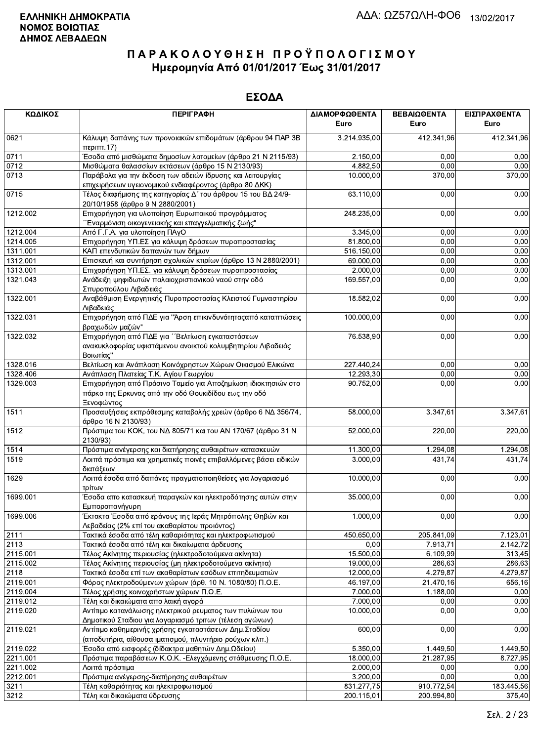| ΚΩΔΙΚΟΣ  | <b>ПЕРІГРАФН</b>                                                                                                                    | ΔΙΑΜΟΡΦΩΘΕΝΤΑ<br>Euro | ΒΕΒΑΙΩΘΕΝΤΑ<br>Euro | ΕΙΣΠΡΑΧΘΕΝΤΑ<br>Euro |
|----------|-------------------------------------------------------------------------------------------------------------------------------------|-----------------------|---------------------|----------------------|
| 0621     | Κάλυψη δαπάνης των προνοιακών επιδομάτων (άρθρου 94 ΠΑΡ 3Β<br>περ <sub>1</sub> ππ.17                                                | 3.214.935,00          | 412.341,96          | 412.341,96           |
| 0711     | Έσοδα από μισθώματα δημοσίων λατομείων (άρθρο 21 Ν 2115/93)                                                                         | 2.150,00              | 0,00                | 0,00                 |
| 0712     | Μισθώματα θαλασσίων εκτάσεων (άρθρο 15 Ν 2130/93)                                                                                   | 4.882,50              | 0,00                | 0,00                 |
| 0713     | Παράβολα για την έκδοση των αδειών ίδρυσης και λειτουργίας<br>επιχειρήσεων υγειονομικού ενδιαφέροντος (άρθρο 80 ΔΚΚ)                | 10.000,00             | 370,00              | 370,00               |
| 0715     | Τέλος διαφήμισης της κατηγορίας Δ΄ του άρθρου 15 του ΒΔ 24/9-<br>20/10/1958 (άρθρο 9 Ν 2880/2001)                                   | 63.110,00             | 0,00                | 0,00                 |
| 1212.002 | Επιχορήγηση για υλοποίηση Ευρωπαικού προγράμματος<br>"Έναρμόνιση οικογενειακής και επαγγελματικής ζωής"                             | 248.235,00            | 0,00                | 0,00                 |
| 1212.004 | Από Γ.Γ.Α. για υλοποίηση ΠΑγΟ                                                                                                       | 3.345,00              | 0,00                | 0,00                 |
| 1214.005 | Επιχορήγηση ΥΠ.ΕΣ για κάλυψη δράσεων πυροπροστασίας                                                                                 | 81.800,00             | 0,00                | 0,00                 |
| 1311.001 | ΚΑΠ επενδυτικών δαπανών των δήμων                                                                                                   | 516.150,00            | 0,00                | 0,00                 |
| 1312.001 | Επισκευή και συντήρηση σχολικών κτιρίων (άρθρο 13 Ν 2880/2001)                                                                      | 69.000,00             | 0,00                | 0,00                 |
| 1313.001 | Επιχορήγηση ΥΠ.ΕΣ. για κάλυψη δράσεων πυροπροστασίας                                                                                | 2.000,00              | 0,00                | 0,00                 |
| 1321.043 | Ανάδειξη ψηφιδωτών παλαιοχριστιανικού ναού στην οδό<br>Σπυροπούλου Λιβαδειάς                                                        | 169.557,00            | 0,00                | 0,00                 |
| 1322.001 | Αναβάθμιση Ενεργητικής Πυροπροστασίας Κλειστού Γυμναστηρίου<br>Λιβαδειάς                                                            | 18.582,02             | 0,00                | 0,00                 |
| 1322.031 | Επιχορήγηση από ΠΔΕ για "Άρση επικινδυνότητας από καταπτώσεις<br>βραχωδών μαζών"                                                    | 100.000.00            | 0,00                | 0,00                 |
| 1322.032 | Επιχορήγηση από ΠΔΕ για ''Βελτίωση εγκαταστάσεων<br>ανακυκλοφορίας υφιστάμενου ανοικτού κολυμβητηρίου Λιβαδειάς<br>Βοιωτίας"        | 76.538,90             | 0,00                | 0,00                 |
| 1328.016 | Βελτίωση και Ανάπλαση Κοινόχρηστων Χώρων Οικισμού Ελικώνα                                                                           | 227.440,24            | 0,00                | 0,00                 |
| 1328.406 | Ανάπλαση Πλατείας Τ.Κ. Αγίου Γεωργίου                                                                                               | 12.293,30             | 0,00                | 0,00                 |
| 1329.003 | Επιχορήγηση από Πράσινο Ταμείο για Αποζημίωση ιδιοκτησιών στο<br>πάρκο της Ερκυνας από την οδό Θουκιδίδου εως την οδό<br>Ξενοφώντος | 90.752,00             | 0,00                | 0,00                 |
| 1511     | Προσαυξήσεις εκπρόθεσμης καταβολής χρεών (άρθρο 6 ΝΔ 356/74,<br>άρθρο 16 Ν 2130/93)                                                 | 58.000,00             | 3.347,61            | 3.347,61             |
| 1512     | Πρόστιμα του ΚΟΚ, του ΝΔ 805/71 και του ΑΝ 170/67 (άρθρο 31 Ν<br>2130/93)                                                           | 52.000,00             | 220,00              | 220,00               |
| 1514     | Πρόστιμα ανέγερσης και διατήρησης αυθαιρέτων κατασκευών                                                                             | 11.300,00             | 1.294,08            | 1.294,08             |
| 1519     | Λοιπά πρόστιμα και χρηματικές ποινές επιβαλλόμενες βάσει ειδικών<br>διατάξεων                                                       | 3.000,00              | 431.74              | 431,74               |
| 1629     | Λοιπά έσοδα από δαπάνες πραγματοποιηθείσες για λογαριασμό<br>τρίτων                                                                 | 10.000,00             | 0,00                | 0,00                 |
| 1699.001 | Έσοδα απο κατασκευή παραγκών και ηλεκτροδότησης αυτών στην<br>Εμποροπανήγυρη                                                        | 35.000.00             | 0,00                | 0,00                 |
| 1699.006 | Έκτακτα Έσοδα από εράνους της Ιεράς Μητρόπολης Θηβών και<br>Λεβαδείας (2% επί του ακαθαρίστου προιόντος)                            | 1.000,00              | 0,00                | 0,00                 |
| 2111     | Τακτικά έσοδα από τέλη καθαριότητας και ηλεκτροφωτισμού                                                                             | 450.650,00            | 205.841,09          | 7.123,01             |
| 2113     | Τακτικά έσοδα από τέλη και δικαίωματα άρδευσης                                                                                      | 0,00                  | 7.913,71            | 2.142,72             |
| 2115.001 | Τέλος Ακίνητης περιουσίας (ηλεκτροδοτούμενα ακίνητα)                                                                                | 15.500,00             | 6.109,99            | 313,45               |
| 2115.002 | Τέλος Ακίνητης περιουσίας (μη ηλεκτροδοτούμενα ακίνητα)                                                                             | 19.000,00             | 286,63              | 286,63               |
| 2118     | Τακτικά έσοδα επί των ακαθαρίστων εσόδων επιτηδευματιών                                                                             | 12.000,00             | 4.279,87            | 4.279,87             |
| 2119.001 | Φόρος ηλεκτροδούμενων χώρων (άρθ. 10 Ν. 1080/80) Π.Ο.Ε.                                                                             | 46.197,00             | 21.470,16           | 656,16               |
| 2119.004 | Τέλος χρήσης κοινοχρήστων χώρων Π.Ο.Ε.                                                                                              | 7.000,00              | 1.188,00            | 0,00                 |
| 2119.012 | Τέλη και δικαιώματα απο λαική αγορά                                                                                                 | 7.000,00              | 0,00                | 0,00                 |
| 2119.020 | Αντίτιμο κατανάλωσης ηλεκτρικού ρευματος των πυλώνων του<br>Δημοτικού Σταδιου για λογαριασμό τριτων (τέλεση αγώνων)                 | 10.000,00             | 0,00                | 0,00                 |
| 2119.021 | Αντίτιμο καθημερινής χρήσης εγκαταστάσεων Δημ. Σταδίου<br>(αποδυτήρια, αίθουσα ιματισμού, πλυντήριο ρούχων κλπ.)                    | 600,00                | 0,00                | 0,00                 |
| 2119.022 | Έσοδα από εισφορές (δίδακτρα μαθητών Δημ.Ωδείου)                                                                                    | 5.350,00              | 1.449,50            | 1.449,50             |
| 2211.001 | Πρόστιμα παραβάσεων Κ.Ο.Κ. - Ελεγχόμενης στάθμευσης Π.Ο.Ε.                                                                          | 18.000,00             | 21.287,95           | 8.727,95             |
| 2211.002 | Λοιπά πρόστιμα                                                                                                                      | 2.000,00              | 0,00                | 0,00                 |
| 2212.001 | Πρόστιμα ανέγερσης-διατήρησης αυθαιρέτων                                                                                            | 3.200,00              | 0,00                | 0,00                 |
| 3211     | Τέλη καθαριότητας και ηλεκτροφωτισμού                                                                                               | 831.277,75            | 910.772,54          | 183.445,56           |
| 3212     | Τέλη και δικαιώματα ύδρευσης                                                                                                        | 200.115,01            | 200.994,80          | 375,40               |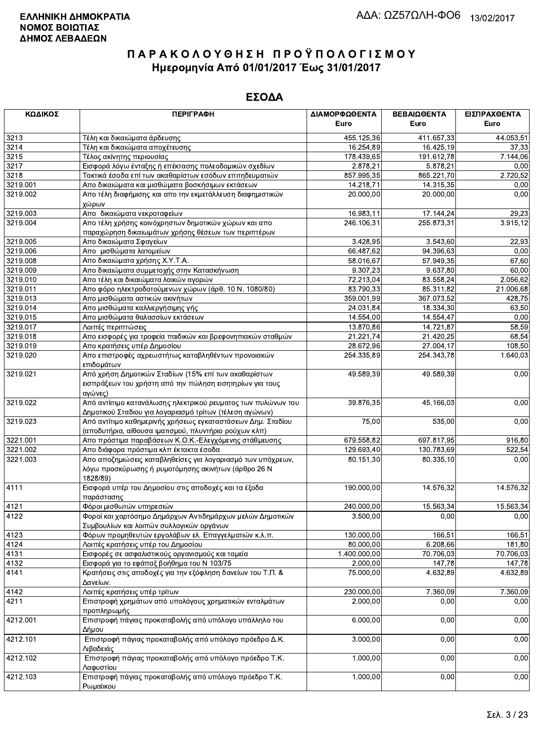| ΚΩΔΙΚΟΣ  | <b>ПЕРІГРАФН</b>                                                                                                                    | ΔΙΑΜΟΡΦΩΘΕΝΤΑ | ΒΕΒΑΙΩΘΕΝΤΑ | ΕΙΣΠΡΑΧΘΕΝΤΑ |
|----------|-------------------------------------------------------------------------------------------------------------------------------------|---------------|-------------|--------------|
|          |                                                                                                                                     | Euro          | Euro        | Euro         |
| 3213     | Τέλη και δικαιώματα άρδευσης                                                                                                        | 455.125,36    | 411.657,33  | 44.053,51    |
| 3214     | Τέλη και δικαιώματα αποχέτευσης                                                                                                     | 16.254,89     | 16.425,19   | 37,33        |
| 3215     | Τέλος ακίνητης περιουσίας                                                                                                           | 178.439,65    | 191.612,78  | 7.144,06     |
| 3217     | Εισφορά λόγω ένταξης ή επέκτασης πολεοδομικών σχεδίων                                                                               | 2.878,21      | 5.878,21    | 0,00         |
| 3218     | Τακτικά έσοδα επί των ακαθαρίστων εσόδων επιτηδευματιών                                                                             | 857 995,35    | 865.221,70  | 2.720,52     |
| 3219.001 | Απο δικαιώματα και μισθώματα βοσκήσιμων εκτάσεων                                                                                    | 14.218,71     | 14.315,35   | 0,00         |
| 3219.002 | Απο τέλη διαφήμισης και απο την εκμετάλλευση διαφημιστικών<br>χώρων                                                                 | 20.000,00     | 20.000,00   | 0,00         |
| 3219.003 | Απο δικαιώματα νεκροταφείων                                                                                                         | 16.983,11     | 17.144,24   | 29,23        |
| 3219.004 | Απο τέλη χρήσης κοινόχρηστων δημοτικών χώρων και απο<br>παραχώρηση δικαιωμάτων χρήσης θέσεων των περιπτέρων                         | 246.106,31    | 255.873,31  | 3.915,12     |
| 3219.005 | Απο δικαιώματα Σφαγείων                                                                                                             | 3.428,95      | 3.543,60    | 22,93        |
| 3219.006 | Απο μισθώματα λατομείων                                                                                                             | 66.487,62     | 94.396,63   | 0,00         |
| 3219.008 | Απο δικαιώματα χρήσης Χ.Υ.Τ.Α.                                                                                                      | 58.016,67     | 57.949,35   | 67,60        |
| 3219.009 | Απο δικαιώματα συμμετοχής στην Κατασκήνωση                                                                                          | 9.307,23      | 9.637,80    | 60,00        |
| 3219.010 | Απο τέλη και δικαιώματα λαικών αγορών                                                                                               | 72.213,04     | 83.558,24   | 2.056,62     |
| 3219.011 | Απο φόρο ηλεκτροδοτούμενων χώρων (άρθ. 10 Ν. 1080/80)                                                                               | 83.790,33     | 85.311,82   | 21.006,68    |
| 3219.013 | Απο μισθώματα αστικών ακινήτων                                                                                                      | 359.001,99    | 367.073,52  | 428,75       |
| 3219.014 | Απο μισθώματα καλλιεργήσιμης γής                                                                                                    | 24.031,84     | 18.334,30   | 63,50        |
| 3219.015 | Απο μισθώματα θαλασσίων εκτάσεων                                                                                                    | 14.554,00     | 14.554,47   | 0,00         |
| 3219.017 | Λοιπές περιπτώσεις                                                                                                                  | 13.870,86     | 14.721,87   | 58,59        |
| 3219.018 | Απο εισφορές για τροφεία παιδικών και βρεφονηπιακών σταθμών                                                                         | 21.221,74     | 21.420,25   | 68,54        |
| 3219.019 | Απο κρατήσεις υπέρ Δημοσίου                                                                                                         | 28.672,96     | 27.004,17   | 108,50       |
| 3219.020 | Απο επιστροφές αχρεωστήτως καταβληθέντων προνοιακών<br>επιδομάτων                                                                   | 254.335,89    | 254.343,78  | 1.640,03     |
| 3219.021 | Από χρήση Δημοτικών Σταδίων (15% επί των ακαθαρίστων<br>εισπράξεων του χρήστη από την πώληση εισητηρίων για τους                    | 49.589,39     | 49.589,39   | 0,00         |
| 3219.022 | αγώνες)<br>Από αντίιτιμο κατανάλωσης ηλεκτρικού ρευματος των πυλώνων του<br>Δημοτικού Σταδιου για λογαριασμό τρίτων (τέλεση αγώνων) | 39.876,35     | 45.166,03   | 0,00         |
| 3219.023 | Από αντίτιμο καθημερινής χρήσεως εγκαταστάσεων Δημ. Σταδίου<br>(αποδυτήρια, αίθουσα ιματισμού, πλυντήριο ρούχων κλπ)                | 75,00         | 535,00      | 0,00         |
| 3221.001 | Απο πρόστιμα παραβάσεων Κ.Ο.Κ.-Ελεγχόμενης στάθμευσης                                                                               | 679.558,82    | 697.817,95  | 916,80       |
| 3221.002 | Απο διάφορα πρόστιμα κλπ έκτακτα έσοδα                                                                                              | 129.693,40    | 130.783,69  | 522,54       |
| 3221.003 | Απο αποζημιώσεις καταβληθείσες για λογαριασμό των υπόχρεων,<br>λόγω προσκύρωσης ή ρυμοτόμησης ακινήτων (άρθρο 26 Ν<br>1828/89)      | 80.151,30     | 80.335,10   | 0,00         |
| 4111     | Εισφορά υπέρ του Δημοσίου στις αποδοχές και τα έξοδα<br>παράστασης                                                                  | 190.000,00    | 14.576,32   | 14.576,32    |
| 4121     | Φόροι μισθωτών υπηρεσιών                                                                                                            | 240.000,00    | 15.563,34   | 15.563,34    |
| 4122     | Φοροί και χαρτόσημο Δημάρχων Αντιδημάρχων μελών Δημοτικών<br>Συμβουλίων και λοιπών συλλογικών οργάνων                               | 3.500,00      | 0,00        | 0,00         |
| 4123     | Φόρων προμηθευτών εργολάβων ελ. Επαγγελματιών κ.λ.π.                                                                                | 130.000,00    | 166,51      | 166,51       |
| 4124     | Λοιπές κρατήσεις υπέρ του Δημοσίου                                                                                                  | 80.000,00     | 6.208,66    | 181,80       |
| 4131     | Εισφορές σε ασφαλιστικούς οργανισμούς και ταμεία                                                                                    | 1.400.000,00  | 70.706,03   | 70.706,03    |
| 4132     | Εισφορά για το εφάπαξ βοήθημα του Ν 103/75                                                                                          | 2.000,00      | 147,78      | 147.78       |
| 4141     | Κρατήσεις στις αποδοχές για την εξόφληση δανείων του Τ.Π. &<br>Δανείων.                                                             | 75.000,00     | 4.632,89    | 4.632,89     |
| 4142     | Λοιπές κρατήσεις υπέρ τρίτων                                                                                                        | 230.000,00    | 7.360,09    | 7.360,09     |
| 4211     | Επιστροφή χρημάτων από υπολόγους χρηματικών ενταλμάτων<br>προπληρωμής                                                               | 2.000,00      | 0,00        | 0,00         |
| 4212.001 | Επιστροφή πάγιας προκαταβολής από υπόλογο υπάλληλο του<br>Δήμου                                                                     | 6.000,00      | 0,00        | 0,00         |
| 4212.101 | Επιστροφή πάγιας προκαταβολής από υπόλογο πρόεδρο Δ.Κ.<br>Λιβαδειάς                                                                 | 3.000,00      | 0,00        | 0,00         |
| 4212.102 | Επιστροφή πάγιας προκαταβολής από υπόλογο πρόεδρο Τ.Κ.<br>Λαφυστίου                                                                 | 1.000,00      | 0,00        | 0,00         |
| 4212.103 | Επιστροφή πάγιας προκαταβολής από υπόλογο πρόεδρο Τ.Κ.<br>Ρωμαίικου                                                                 | 1.000,00      | 0,00        | 0,00         |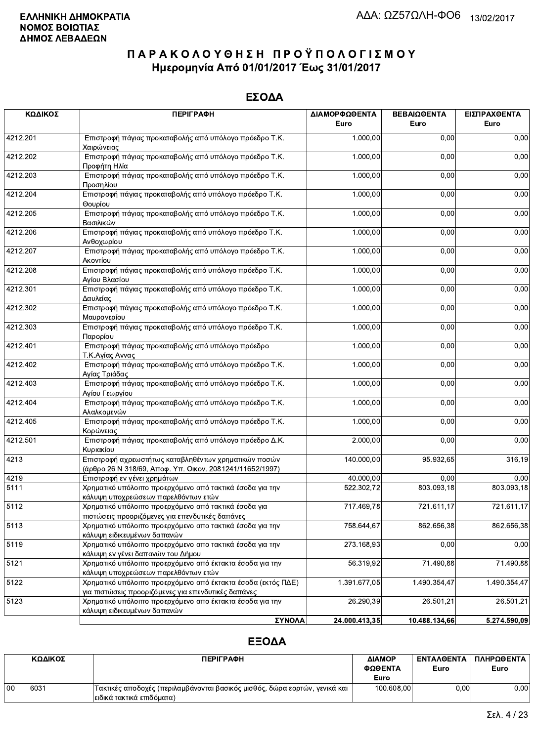### ΕΣΟΔΑ

| ΚΩΔΙΚΟΣ  | <b>ПЕРІГРАФН</b>                                                                                                    | ΔΙΑΜΟΡΦΩΘΕΝΤΑ | ΒΕΒΑΙΩΘΕΝΤΑ   | ΕΙΣΠΡΑΧΘΕΝΤΑ |
|----------|---------------------------------------------------------------------------------------------------------------------|---------------|---------------|--------------|
|          |                                                                                                                     | Euro          | Euro          | Euro         |
| 4212.201 | Επιστροφή πάγιας προκαταβολής από υπόλογο πρόεδρο Τ.Κ.<br>Χαιρώνειας                                                | 1.000,00      | 0,00          | 0,00         |
| 4212.202 | Επιστροφή πάγιας προκαταβολής από υπόλογο πρόεδρο Τ.Κ.<br>Προφήτη Ηλία                                              | 1.000,00      | 0,00          | 0,00         |
| 4212.203 | Επιστροφή πάγιας προκαταβολής από υπόλογο πρόεδρο Τ.Κ.<br>Προσηλίου                                                 | 1.000,00      | 0,00          | 0,00         |
| 4212.204 | Επιστροφή πάγιας προκαταβολής από υπόλογο πρόεδρο Τ.Κ.<br>Θουρίου                                                   | 1.000,00      | 0,00          | 0,00         |
| 4212.205 | Επιστροφή πάγιας προκαταβολής από υπόλογο πρόεδρο Τ.Κ.<br>Βασιλικών                                                 | 1.000,00      | 0,00          | 0,00         |
| 4212.206 | Επιστροφή πάγιας προκαταβολής από υπόλογο πρόεδρο Τ.Κ.<br>Ανθοχωρίου                                                | 1.000,00      | 0,00          | 0,00         |
| 4212.207 | Επιστροφή πάγιας προκαταβολής από υπόλογο πρόεδρο Τ.Κ.<br>Ακοντίου                                                  | 1.000,00      | 0,00          | 0,00         |
| 4212.208 | Επιστροφή πάγιας προκαταβολής από υπόλογο πρόεδρο Τ.Κ.<br>Αγίου Βλασίου                                             | 1.000,00      | 0,00          | 0,00         |
| 4212.301 | Επιστροφή πάγιας προκαταβολής από υπόλογο πρόεδρο Τ.Κ.<br>Δαυλείας                                                  | 1.000,00      | 0,00          | 0,00         |
| 4212.302 | Επιστροφή πάγιας προκαταβολής από υπόλογο πρόεδρο Τ.Κ.<br>Μαυρονερίου                                               | 1.000,00      | 0,00          | 0,00         |
| 4212.303 | Επιστροφή πάγιας προκαταβολής από υπόλογο πρόεδρο Τ.Κ.<br>Παρορίου                                                  | 1.000,00      | 0,00          | 0,00         |
| 4212.401 | Επιστροφή πάγιας προκαταβολής από υπόλογο πρόεδρο<br>Τ.Κ.Αγίας Αννας                                                | 1.000,00      | 0,00          | 0,00         |
| 4212.402 | Επιστροφή πάγιας προκαταβολής από υπόλογο πρόεδρο Τ.Κ.<br>Αγίας Τριάδας                                             | 1.000,00      | 0,00          | 0,00         |
| 4212.403 | Επιστροφή πάγιας προκαταβολής από υπόλογο πρόεδρο Τ.Κ.<br>Αγίου Γεωργίου                                            | 1.000,00      | 0,00          | 0,00         |
| 4212.404 | Επιστροφή πάγιας προκαταβολής από υπόλογο πρόεδρο Τ.Κ.<br>Αλαλκομενών                                               | 1.000,00      | 0,00          | 0,00         |
| 4212.405 | Επιστροφή πάγιας προκαταβολής από υπόλογο πρόεδρο Τ.Κ.<br>Κορώνειας                                                 | 1.000,00      | 0,00          | 0,00         |
| 4212.501 | Επιστροφή πάγιας προκαταβολής από υπόλογο πρόεδρο Δ.Κ.<br>Κυριακίου                                                 | 2.000,00      | 0,00          | 0,00         |
| 4213     | Επιστροφή αχρεωστήτως καταβληθέντων χρηματικών ποσών<br>(άρθρο 26 Ν 318/69, Αποφ. Υπ. Οικον. 2081241/11652/1997)    | 140.000,00    | 95.932,65     | 316,19       |
| 4219     | Επιστροφή εν γένει χρημάτων                                                                                         | 40.000.00     | 0.00          | 0,00         |
| 5111     | Χρηματικό υπόλοιπο προερχόμενο από τακτικά έσοδα για την<br>κάλυψη υποχρεώσεων παρελθόντων ετών                     | 522.302,72    | 803.093,18    | 803.093,18   |
| 5112     | Χρηματικό υπόλοιπο προερχόμενο από τακτικά έσοδα για<br>πιστώσεις προοριζόμενες για επενδυτικές δαπάνες             | 717.469,78    | 721.611,17    | 721.611,17   |
| 5113     | Χρηματικό υπόλοιπο προερχόμενο απο τακτικά έσοδα για την<br>κάλυψη ειδικευμένων δαπανών                             | 758.644,67    | 862.656,38    | 862.656,38   |
| 5119     | Χρηματικό υπόλοιπο προερχόμενο απο τακτικά έσοδα για την<br>κάλυψη εν γένει δαπανών του Δήμου                       | 273.168,93    | 0,00          | 0,00         |
| 5121     | Χρηματικό υπόλοιπο προερχόμενο από έκτακτα έσοδα για την<br>κάλυψη υποχρεώσεων παρελθόντων ετών                     | 56.319,92     | 71.490,88     | 71.490,88    |
| 5122     | Χρηματικό υπόλοιπο προερχόμενο από έκτακτα έσοδα (εκτός ΠΔΕ)<br>για πιστώσεις προοριζόμενες για επενδυτικές δαπάνες | 1.391.677,05  | 1.490.354,47  | 1.490.354,47 |
| 5123     | Χρηματικό υπόλοιπο προερχόμενο απο έκτακτα έσοδα για την<br>κάλυψη ειδικευμένων δαπανών                             | 26.290,39     | 26.501,21     | 26.501,21    |
|          | ΣΥΝΟΛΑ                                                                                                              | 24.000.413,35 | 10.488.134,66 | 5.274.590,09 |

|    | ΚΩΔΙΚΟΣ | <b>ПЕРІГРАФН</b>                                                            | ΔΙΑΜΟΡ<br>ΦΩΘΕΝΤΑ | <b>ENTAAGENTA</b><br>Euro | ΠΛΗΡΩΘΕΝΤΑ<br>Euro |
|----|---------|-----------------------------------------------------------------------------|-------------------|---------------------------|--------------------|
|    |         |                                                                             | Euro              |                           |                    |
| 00 | 6031    | `Τακτικές αποδοχές (περιλαμβάνονται βασικός μισθός, δώρα εορτών, γενικά και | 100.608,00        | 0.00                      | 0.00               |
|    |         | ∣ειδικά τακτικά επιδόματα)                                                  |                   |                           |                    |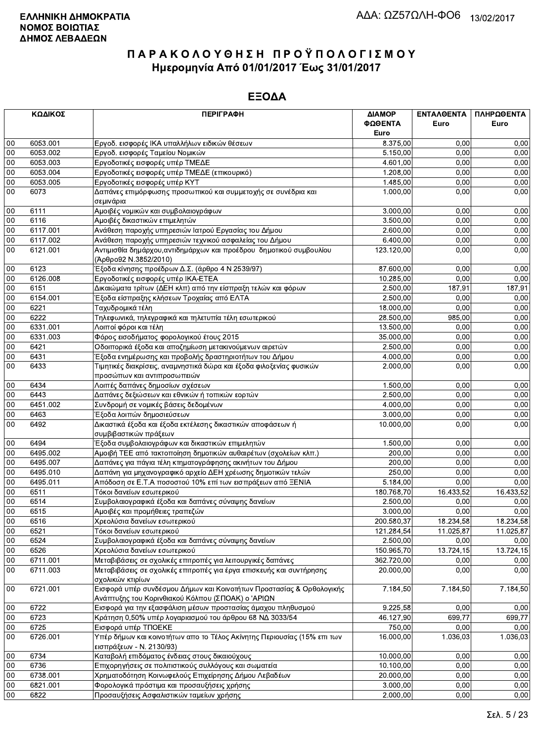|        | ΚΩΔΙΚΟΣ  | <b>ПЕРІГРАФН</b>                                                                                                          | ΔΙΑΜΟΡ<br>ΦΩΘΕΝΤΑ | ΕΝΤΑΛΘΕΝΤΑ<br>Euro | ΠΛΗΡΩΘΕΝΤΑ<br>Euro |
|--------|----------|---------------------------------------------------------------------------------------------------------------------------|-------------------|--------------------|--------------------|
|        |          |                                                                                                                           | Euro              |                    |                    |
| 00     | 6053.001 | Εργοδ. εισφορές ΙΚΑ υπαλλήλων ειδικών θέσεων                                                                              | 8.375,00          | 0.00               | 0,00               |
| 00     | 6053.002 | Εργοδ. εισφορές Ταμείου Νομικών                                                                                           | 5.150,00          | 0.00               | 0,00               |
| $00\,$ | 6053.003 | Εργοδοτικές εισφορές υπέρ ΤΜΕΔΕ                                                                                           | 4.601,00          | 0,00               | 0,00               |
| 00     | 6053.004 | Εργοδοτικές εισφορές υπέρ ΤΜΕΔΕ (επικουρικό)                                                                              | 1.208,00          | 0,00               | 0,00               |
| 00     | 6053.005 | Εργοδοτικές εισφορές υπέρ ΚΥΤ                                                                                             | 1.485,00          | 0,00               | 0,00               |
| 00     | 6073     | Δαπάνες επιμόρφωσης προσωπικού και συμμετοχής σε συνέδρια και<br>σεμινάρια                                                | 1.000,00          | 0,00               | 0,00               |
| 00     | 6111     | Αμοιβές νομικών και συμβολαιογράφων                                                                                       | 3.000,00          | 0,00               | 0,00               |
| 00     | 6116     | Αμοιβές δικαστικών επιμελητών                                                                                             | 3.500,00          | 0,00               | 0,00               |
| 00     | 6117.001 | Ανάθεση παροχής υπηρεσιών Ιατρού Εργασίας του Δήμου                                                                       | 2.600,00          | 0.00               | 0,00               |
| $00\,$ | 6117.002 | Ανάθεση παροχής υπηρεσιών τεχνικού ασφαλείας του Δήμου                                                                    | 6.400,00          | 0,00               | 0,00               |
| $00\,$ | 6121.001 | Αντιμισθία δημάρχου, αντιδημάρχων και προέδρου δημοτικού συμβουλίου<br>(Άρθρο92 Ν.3852/2010)                              | 123.120,00        | 0,00               | 0,00               |
| 00     | 6123     | Έξοδα κίνησης προέδρων Δ.Σ. (άρθρο 4 Ν 2539/97)                                                                           | 87.600,00         | 0,00               | 0,00               |
| $00\,$ | 6126.008 | Εργοδοτικές εισφορές υπέρ ΙΚΑ-ΕΤΕΑ                                                                                        | 10.285,00         | 0,00               | 0,00               |
| 00     | 6151     | Δικαιώματα τρίτων (ΔΕΗ κλπ) από την είσπραξη τελών και φόρων                                                              | 2.500.00          | 187,91             | 187,91             |
| $00\,$ | 6154.001 | Έξοδα είσπραξης κλήσεων Τροχαίας από ΕΛΤΑ                                                                                 | 2.500,00          | 0,00               | 0,00               |
| 00     | 6221     | Ταχυδρομικά τέλη                                                                                                          | 18.000,00         | 0,00               | 0,00               |
| 00     | 6222     | Τηλεφωνικά, τηλεγραφικά και τηλετυπία τέλη εσωτερικού                                                                     | 28.500,00         | 985,00             | 0,00               |
| $00\,$ | 6331.001 | Λοιποί φόροι και τέλη                                                                                                     | 13.500,00         | 0.00               | 0,00               |
| 00     | 6331.003 | Φόρος εισοδήματος φορολογικού έτους 2015                                                                                  | 35.000,00         | 0,00               | 0,00               |
| $00\,$ | 6421     | Οδοιπορικά έξοδα και αποζημίωση μετακινούμενων αιρετών                                                                    | 2.500,00          | 0,00               | 0,00               |
| 00     | 6431     | Έξοδα ενημέρωσης και προβολής δραστηριοτήτων του Δήμου                                                                    | 4.000,00          | 0,00               | 0,00               |
| 00     | 6433     | Τιμητικές διακρίσεις, αναμνηστικά δώρα και έξοδα φιλοξενίας φυσικών<br>προσώπων και αντιπροσωπειών                        | 2.000,00          | 0,00               | 0,00               |
| 00     | 6434     | Λοιπές δαπάνες δημοσίων σχέσεων                                                                                           | 1.500,00          | 0,00               | 0,00               |
| $00\,$ | 6443     | Δαπάνες δεξιώσεων και εθνικών ή τοπικών εορτών                                                                            | 2.500,00          | 0,00               | 0,00               |
| 00     | 6451.002 | Συνδρομή σε νομικές βάσεις δεδομένων                                                                                      | 4.000,00          | 0,00               | 0,00               |
| 00     | 6463     | Έξοδα λοιπών δημοσιεύσεων                                                                                                 | 3.000,00          | 0,00               | 0,00               |
| $00\,$ | 6492     | Δικαστικά έξοδα και έξοδα εκτέλεσης δικαστικών αποφάσεων ή<br>συμβιβαστικών πράξεων                                       | 10.000,00         | 0,00               | 0,00               |
| 00     | 6494     | Έξοδα συμβολαιογράφων και δικαστικών επιμελητών                                                                           | 1.500,00          | 0,00               | 0,00               |
| 00     | 6495.002 | Αμοιβή ΤΕΕ από τακτοποίηση δημοτικών αυθαιρέτων (σχολείων κλπ.)                                                           | 200,00            | 0,00               | 0,00               |
| $00\,$ | 6495.007 | Δαπάνες για πάγια τέλη κτηματογράφησης ακινήτων του Δήμου                                                                 | 200,00            | 0,00               | 0,00               |
| 00     | 6495.010 | Δαπάνη για μηχανογραφικό αρχείο ΔΕΗ χρέωσης δημοτικών τελών                                                               | 250,00            | 0,00               | 0,00               |
| 00     | 6495.011 | Απόδοση σε Ε.Τ.Α ποσοστού 10% επί των εισπράξεων από ΞΕΝΙΑ                                                                | 5.184,00          | 0,00               | 0,00               |
| 00     | 6511     | Τόκοι δανείων εσωτερικού                                                                                                  | 180.768,70        | 16.433,52          | 16.433,52          |
| 00     | 6514     | Συμβολαιογραφικά έξοδα και δαπάνες σύναψης δανείων                                                                        | 2.500,00          | 0,00               | 0,00               |
| $00\,$ | 6515     | Αμοιβές και προμήθειες τραπεζών                                                                                           | 3.000,00          | 0,00               | 0,00               |
| 00     | 6516     | Χρεολύσια δανείων εσωτερικού                                                                                              | 200.580,37        | 18.234,58          | 18.234,58          |
| 00     | 6521     | Τόκοι δανείων εσωτερικού                                                                                                  | 121.284,54        | 11.025,87          | 11.025,87          |
| 00     | 6524     | Συμβολαιογραφικά έξοδα και δαπάνες σύναψης δανείων                                                                        | 2.500,00          | 0,00               | 0,00               |
| 00     | 6526     | Χρεολύσια δανείων εσωτερικού                                                                                              | 150.965,70        | 13.724,15          | 13.724,15          |
| $00\,$ | 6711.001 | Μεταβιβάσεις σε σχολικές επιτροπές για λειτουργικές δαπάνες                                                               | 362.720,00        | 0,00               | 0,00               |
| 00     | 6711.003 | Μεταβιβάσεις σε σχολικές επιτροπές για έργα επισκευής και συντήρησης                                                      | 20.000,00         | 0,00               | 0,00               |
|        |          | σχολικών κτιρίων                                                                                                          |                   |                    |                    |
| 00     | 6721.001 | Εισφορά υπέρ συνδέσμου Δήμων και Κοινοτήτων Προστασίας & Ορθολογικής<br>Ανάπτυξης του Κορινθιακού Κόλπου (ΣΠΟΑΚ) ο 'ΑΡΙΩΝ | 7.184,50          | 7.184,50           | 7.184,50           |
| 00     | 6722     | Εισφορά για την εξασφάλιση μέσων προστασίας άμαχου πληθυσμού                                                              | 9.225,58          | 0,00               | 0,00               |
| 00     | 6723     | Κράτηση 0,50% υπέρ λογαριασμού του άρθρου 68 ΝΔ 3033/54                                                                   | 46.127,90         | 699,77             | 699,77             |
| 00     | 6725     | Εισφορά υπέρ ΤΠΟΕΚΕ                                                                                                       | 750,00            | 0,00               | 0,00               |
| 00     | 6726.001 | Υπέρ δήμων και κοινοτήτων απο το Τέλος Ακίνητης Περιουσίας (15% επι των<br>εισπράξεων - Ν. 2130/93)                       | 16.000,00         | 1.036,03           | 1.036,03           |
| 00     | 6734     | Καταβολή επιδόματος ένδειας στους δικαιούχους                                                                             | 10.000,00         | 0,00               | 0,00               |
| 00     | 6736     | Επιχορηγήσεις σε πολιτιστικούς συλλόγους και σωματεία                                                                     | 10.100,00         | 0.00               | 0.00               |
| 00     | 6738.001 | Χρηματοδότηση Κοινωφελούς Επιχείρησης Δήμου Λεβαδέων                                                                      | 20.000,00         | 0,00               | 0,00               |
| 00     | 6821.001 | Φορολογικά πρόστιμα και προσαυξήσεις χρήσης                                                                               | 3.000,00          | 0,00               | 0,00               |
| $00\,$ | 6822     | Προσαυξήσεις Ασφαλιστικών ταμείων χρήσης                                                                                  | 2.000,00          | 0,00               | 0,00               |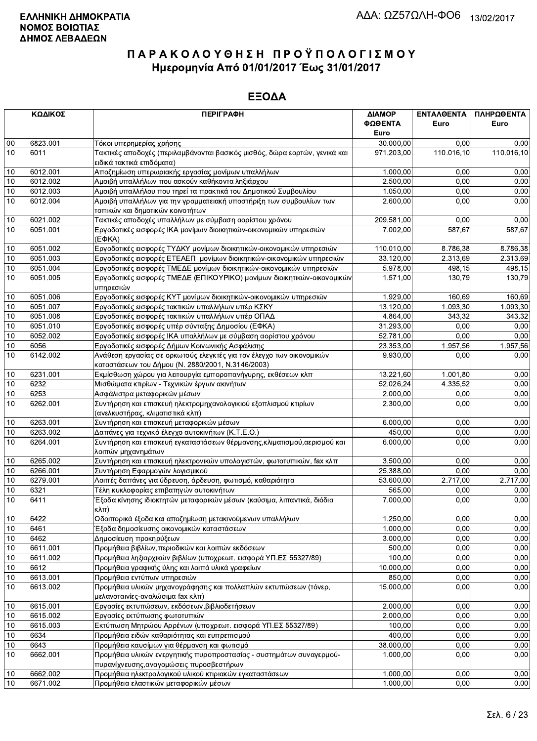|          | ΚΩΔΙΚΟΣ  | <b>ПЕРІГРАФН</b>                                                                                                 | ΔΙΑΜΟΡ     | <b>ENTAAGENTA</b>     | ΠΛΗΡΩΘΕΝΤΑ |
|----------|----------|------------------------------------------------------------------------------------------------------------------|------------|-----------------------|------------|
|          |          |                                                                                                                  | ΦΩΘΕΝΤΑ    | Euro                  | Euro       |
|          |          |                                                                                                                  | Euro       |                       |            |
| 00       | 6823.001 | Τόκοι υπερημερίας χρήσης                                                                                         | 30.000,00  | 0.00                  | 0.00       |
| 10       | 6011     | Τακτικές αποδοχές (περιλαμβάνονται βασικός μισθός, δώρα εορτών, γενικά και                                       | 971.203,00 | 110.016,10            | 110.016,10 |
|          |          | ειδικά τακτικά επιδόματα)                                                                                        |            |                       |            |
| 10       | 6012.001 | Αποζημίωση υπερωριακής εργασίας μονίμων υπαλλήλων                                                                | 1.000,00   | 0,00                  | 0,00       |
| 10       | 6012.002 | Αμοιβή υπαλλήλων που ασκούν καθήκοντα ληξιάρχου                                                                  | 2.500,00   | 0,00                  | 0,00       |
| 10       | 6012.003 | Αμοιβή υπαλλήλου που τηρεί τα πρακτικά του Δημοτικού Συμβουλίου                                                  | 1.050,00   | 0,00                  | 0,00       |
| 10       | 6012.004 | Αμοιβή υπαλλήλων για την γραμματειακή υποστήριξη των συμβουλίων των                                              | 2.600,00   | 0,00                  | 0,00       |
|          |          | τοπικών και δημοτικών κοινοτήτων                                                                                 |            |                       |            |
| 10       | 6021.002 | Τακτικές αποδοχές υπαλλήλων με σύμβαση αορίστου χρόνου                                                           | 209.581,00 | 0,00                  | 0,00       |
| 10       | 6051.001 | Εργοδοτικές εισφορές ΙΚΑ μονίμων διοικητικών-οικονομικών υπηρεσιών<br>$(E\Phi KA)$                               | 7.002,00   | 587,67                | 587,67     |
| 10       | 6051.002 | Εργοδοτικές εισφορές ΤΥΔΚΥ μονίμων διοικητικών-οικονομικών υπηρεσιών                                             | 110.010,00 | 8.786,38              | 8.786,38   |
| 10       | 6051.003 | Εργοδοτικές εισφορές ΕΤΕΑΕΠ μονίμων διοικητικών-οικονομικών υπηρεσιών                                            | 33.120,00  | 2.313,69              | 2.313,69   |
| 10       | 6051.004 | Εργοδοτικές εισφορές ΤΜΕΔΕ μονίμων διοικητικών-οικονομικών υπηρεσιών                                             | 5.978,00   | 498,15                | 498,15     |
| 10       | 6051.005 | Εργοδοτικές εισφορές ΤΜΕΔΕ (ΕΠΙΚΟΥΡΙΚΟ) μονίμων διοικητικών-οικονομικών<br>υπηρεσιών                             | 1.571,00   | 130,79                | 130,79     |
| 10       | 6051.006 | Εργοδοτικές εισφορές ΚΥΤ μονίμων διοικητικών-οικονομικών υπηρεσιών                                               | 1.929,00   | 160,69                | 160,69     |
| 10       | 6051.007 | Εργοδοτικές εισφορές τακτικών υπαλλήλων υπέρ ΚΣΚΥ                                                                | 13.120,00  | $\overline{1.093,30}$ | 1.093,30   |
| 10       | 6051.008 | Εργοδοτικές εισφορές τακτικών υπαλλήλων υπέρ ΟΠΑΔ                                                                | 4.864,00   | 343,32                | 343.32     |
| 10       | 6051.010 | Εργοδοτικές εισφορές υπέρ σύνταξης Δημοσίου (ΕΦΚΑ)                                                               | 31.293,00  | 0,00                  | 0,00       |
| 10       | 6052.002 | Εργοδοτικές εισφορές ΙΚΑ υπαλλήλων με σύμβαση αορίστου χρόνου                                                    | 52.781,00  | 0,00                  | 0,00       |
| 10       | 6056     | Εργοδοτικές εισφορές Δήμων Κοινωνικής Ασφάλισης                                                                  | 23.353,00  | 1.957,56              | 1.957,56   |
| 10       | 6142.002 | Ανάθεση εργασίας σε ορκωτούς ελεγκτές για τον έλεγχο των οικονομικών                                             | 9.930,00   | 0.00                  | 0,00       |
|          |          | καταστάσεων του Δήμου (Ν. 2880/2001, Ν.3146/2003)                                                                |            |                       |            |
| 10       | 6231.001 | Εκμίσθωση χώρου για λειτουργία εμποροπανήγυρης, εκθέσεων κλπ                                                     | 13.221,60  | 1.001,80              | 0,00       |
| 10       | 6232     | Μισθώματα κτιρίων - Τεχνικών έργων ακινήτων                                                                      | 52.026,24  | 4.335,52              | 0,00       |
| 10       | 6253     | Ασφάλιστρα μεταφορικών μέσων                                                                                     | 2.000,00   | 0,00                  | 0,00       |
| 10       | 6262.001 | Συντήρηση και επισκευή ηλεκτρομηχανολογικιού εξοπλισμού κτιρίων<br>(ανελκυστήρας, κλιματιστικά κλπ)              | 2.300,00   | 0,00                  | 0,00       |
| 10       | 6263.001 | Συντήρηση και επισκευή μεταφορικών μέσων                                                                         | 6.000,00   | 0,00                  | 0,00       |
| 10       | 6263.002 | Δαπάνες για τεχνικό έλεγχο αυτοκινήτων (Κ.Τ.Ε.Ο.)                                                                | 450,00     | 0,00                  | 0,00       |
| 10       | 6264.001 | Συντήρηση και επισκευή εγκαταστάσεων θέρμανσης, κλιματισμού, αερισμού και<br>λοιπών μηχανημάτων                  | 6.000,00   | 0,00                  | 0,00       |
| 10       | 6265.002 | Συντήρηση και επισκευή ηλεκτρονικών υπολογιστών, φωτοτυπικών, fax κλπ                                            | 3.500,00   | 0,00                  | 0,00       |
| 10       | 6266.001 | Συντήρηση Εφαρμογών λογισμικού                                                                                   | 25.388,00  | 0,00                  | 0,00       |
| 10       | 6279.001 | Λοιπές δαπάνες για ύδρευση, άρδευση, φωτισμό, καθαριότητα                                                        | 53.600,00  | 2.717,00              | 2.717,00   |
| 10       | 6321     | Τέλη κυκλοφορίας επιβατηγών αυτοκινήτων                                                                          | 565,00     | 0,00                  | 0,00       |
| 10       | 6411     | Έξοδα κίνησης ιδιοκτητών μεταφορικών μέσων (καύσιμα, λιπαντικά, διόδια                                           | 7.000,00   | 0,00                  | 0,00       |
| $10$     | 6422     | κλπ)<br>Οδοιπορικά έξοδα και αποζημίωση μετακινούμενων υπαλλήλων                                                 | 1.250,00   | 0,00                  | 0,00       |
| 10       | 6461     | Έξοδα δημοσίευσης οικονομικών καταστάσεων                                                                        | 1.000,00   | 0,00                  | 0,00       |
|          | 6462     | Δημοσίευση προκηρύξεων                                                                                           | 3.000,00   | 0,00                  | 0,00       |
| 10<br>10 | 6611.001 | Προμήθεια βιβλίων, περιοδικών και λοιπών εκδόσεων                                                                | 500,00     | 0,00                  | 0,00       |
| 10       | 6611.002 | Προμήθεια ληξιαρχικών βιβλίων (υποχρεωτ. εισφορά ΥΠ.ΕΣ 55327/89)                                                 | 100,00     | 0,00                  | 0,00       |
| 10       | 6612     | Προμήθεια γραφικής ύλης και λοιπά υλικά γραφείων                                                                 | 10.000,00  | 0,00                  | 0,00       |
| 10       | 6613.001 | Προμήθεια εντύπων υπηρεσιών                                                                                      | 850,00     | 0,00                  | 0,00       |
|          | 6613.002 | Προμήθεια υλικών μηχανογράφησης και πολλαπλών εκτυπώσεων (τόνερ,                                                 |            | 0,00                  |            |
| 10       |          | μελανοταινίες-αναλώσιμα fax κλπ)                                                                                 | 15.000,00  |                       | 0,00       |
| 10       | 6615.001 | Εργασίες εκτυπώσεων, εκδόσεων, βιβλιοδετήσεων                                                                    | 2.000,00   | 0,00                  | 0,00       |
| 10       | 6615.002 | Εργασίες εκτύπωσης φωτοτυπιών                                                                                    | 2.000,00   | 0,00                  | 0,00       |
| 10       | 6615.003 | Εκτύπωση Μητρώου Αρρένων (υποχρεωτ. εισφορά ΥΠ.ΕΣ 55327/89)                                                      | 100,00     | 0,00                  | 0,00       |
| 10       | 6634     | Προμήθεια ειδών καθαριότητας και ευπρεπισμού                                                                     | 400,00     | 0,00                  | 0,00       |
| 10       | 6643     | Προμήθεια καυσίμων για θέρμανση και φωτισμό                                                                      | 38.000,00  | 0,00                  | 0,00       |
| 10       | 6662.001 | Προμήθεια υλικών ενεργητικής πυροπροστασίας - συστημάτων συναγερμού-<br>πυρανίχνευσης, αναγομώσεις πυροσβεστήρων | 1.000,00   | 0,00                  | 0,00       |
| 10       | 6662.002 | Προμήθεια ηλεκτρολογικού υλικού κτιριακών εγκαταστάσεων                                                          | 1.000,00   | 0,00                  | 0,00       |
| 10       | 6671.002 | Προμήθεια ελαστικών μεταφορικών μέσων                                                                            | 1.000,00   | 0,00                  | 0,00       |
|          |          |                                                                                                                  |            |                       |            |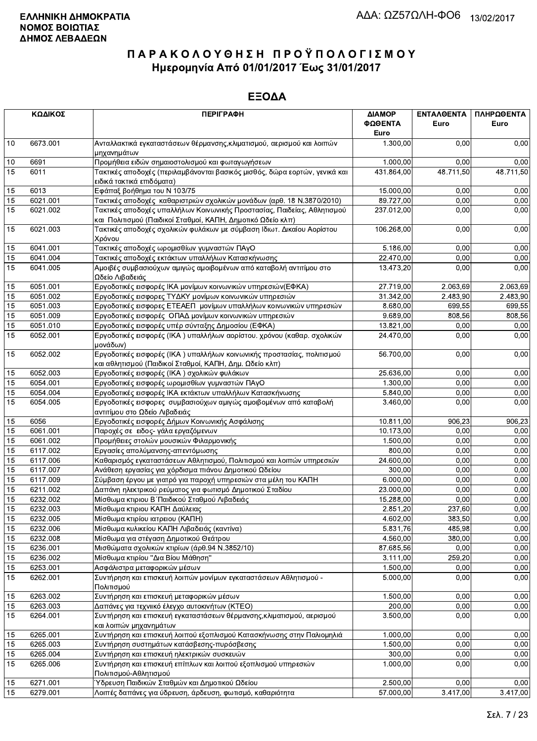|      | ΚΩΔΙΚΟΣ  | <b>ПЕРІГРАФН</b>                                                                                                                       | ΔΙΑΜΟΡ<br>ΦΩΘΕΝΤΑ | <b>ENTAΛΘΕΝΤΑ</b><br>Euro | ΠΛΗΡΩΘΕΝΤΑ<br>Euro |
|------|----------|----------------------------------------------------------------------------------------------------------------------------------------|-------------------|---------------------------|--------------------|
|      | 6673.001 |                                                                                                                                        | Euro              |                           |                    |
| 10   |          | Ανταλλακτικά εγκαταστάσεων θέρμανσης, κλιματισμού, αερισμού και λοιπών<br>μηχανημάτων                                                  | 1.300,00          | 0,00                      | 0,00               |
| $10$ | 6691     | Προμήθεια ειδών σημαιοστολισμού και φωταγωγήσεων                                                                                       | 1.000,00          | 0,00                      | 0,00               |
| 15   | 6011     | Τακτικές αποδοχές (περιλαμβάνονται βασικός μισθός, δώρα εορτών, γενικά και<br>ειδικά τακτικά επιδόματα)                                | 431.864,00        | 48.711,50                 | 48.711,50          |
| 15   | 6013     | Εφάπαξ βοήθημα του Ν 103/75                                                                                                            | 15.000,00         | 0.00                      | 0,00               |
| 15   | 6021.001 | Τακτικές αποδοχές καθαριστριών σχολικών μονάδων (αρθ. 18 Ν.3870/2010)                                                                  | 89.727,00         | 0,00                      | 0,00               |
| 15   | 6021.002 | Τακτικές αποδοχές υπαλλήλων Κοινωνικής Προστασίας, Παιδείας, Αθλητισμού<br>και Πολιτισμού (Παιδικοί Σταθμοί, ΚΑΠΗ, Δημοτικό Ωδείο κλπ) | 237.012,00        | 0,00                      | 0,00               |
| 15   | 6021.003 | Τακτικές αποδοχές σχολικών φυλάκων με σύμβαση Ιδιωτ. Δικαίου Αορίστου<br>Χρόνου                                                        | 106.268,00        | 0,00                      | 0,00               |
| 15   | 6041.001 | Τακτικές αποδοχές ωρομισθίων γυμναστών ΠΑγΟ                                                                                            | 5.186,00          | 0,00                      | 0,00               |
| 15   | 6041.004 | Τακτικές αποδοχές εκτάκτων υπαλλήλων Κατασκήνωσης                                                                                      | 22.470,00         | 0,00                      | 0,00               |
| 15   | 6041.005 | Αμοιβές συμβασιούχων αμιγώς αμοιβομένων από καταβολή αντιτίμου στο<br>Ωδείο Λιβαδειάς                                                  | 13.473,20         | 0,00                      | 0,00               |
| 15   | 6051.001 | Εργοδοτικές εισφορές ΙΚΑ μονίμων κοινωνικών υπηρεσιών(ΕΦΚΑ)                                                                            | 27.719,00         | 2.063,69                  | 2.063,69           |
| 15   | 6051.002 | Εργοδοτικές εισφορες ΤΥΔΚΥ μονίμων κοινωνικών υπηρεσιών                                                                                | 31.342,00         | 2.483,90                  | 2.483,90           |
| 15   | 6051.003 | Εργοδοτικές εισφορες ΕΤΕΑΕΠ μονίμων υπαλλήλων κοινωνικών υπηρεσιών                                                                     | 8.680,00          | 699.55                    | 699,55             |
| 15   | 6051.009 | Εργοδοτικές εισφορές ΟΠΑΔ μονίμων κοινωνικών υπηρεσιών                                                                                 | 9.689,00          | 808,56                    | 808,56             |
| 15   | 6051.010 | Εργοδοτικές εισφορές υπέρ σύνταξης Δημοσίου (ΕΦΚΑ)                                                                                     | 13.821,00         | 0,00                      | 0,00               |
| 15   | 6052.001 | Εργοδοτικές εισφορές (ΙΚΑ) υπαλλήλων αορίστου. χρόνου (καθαρ. σχολικών<br>μονάδων)                                                     | 24.470,00         | 0,00                      | 0,00               |
| 15   | 6052.002 | Εργοδοτικές εισφορές (ΙΚΑ) υπαλλήλων κοινωνικής προστασίας, πολιτισμού<br>και αθλητισμού (Παιδικοί Σταθμοί, ΚΑΠΗ, Δημ. Ωδείο κλπ)      | 56.700,00         | 0,00                      | 0,00               |
| 15   | 6052.003 | Εργοδοτικές εισφορές (ΙΚΑ) σχολικών φυλάκων                                                                                            | 25.636,00         | 0,00                      | 0,00               |
| 15   | 6054.001 | Εργοδοτικές εισφορές ωρομισθίων γυμναστών ΠΑγΟ                                                                                         | 1.300,00          | 0,00                      | 0,00               |
| 15   | 6054.004 | Εργοδοτικές εισφορές ΙΚΑ εκτάκτων υπαλλήλων Κατασκήνωσης                                                                               | 5.840,00          | 0,00                      | 0,00               |
| 15   | 6054.005 | Εργοδοτικές εισφορες συμβασιούχων αμιγώς αμοιβομένων από καταβολή<br>αντιτίμου στο Ωδείο Λιβαδειάς                                     | 3.460,00          | 0,00                      | 0,00               |
| 15   | 6056     | Εργοδοτικές εισφορές Δήμων Κοινωνικής Ασφάλισης                                                                                        | 10.811,00         | 906,23                    | 906,23             |
| 15   | 6061.001 | Παροχές σε ειδος- γάλα εργαζόμενων                                                                                                     | 10.173,00         | 0,00                      | 0,00               |
| 15   | 6061.002 | Προμήθειες στολών μουσικών Φιλαρμονικής                                                                                                | 1.500,00          | 0,00                      | 0,00               |
| 15   | 6117.002 | Εργασίες απολύμανσης-απεντόμωσης                                                                                                       | 800,00            | 0,00                      | 0,00               |
| 15   | 6117.006 | Καθαρισμός εγκαταστάσεων Αθλητισμού, Πολιτισμού και λοιπών υπηρεσιών                                                                   | 24.600,00         | 0,00                      | 0,00               |
| 15   | 6117.007 | Ανάθεση εργασίας για χόρδισμα πιάνου Δημοτικού Ωδείου                                                                                  | 300,00            | 0,00                      | 0,00               |
| 15   | 6117.009 | Σύμβαση έργου με γιατρό για παροχή υπηρεσιών στα μέλη του ΚΑΠΗ                                                                         | 6.000,00          | 0,00                      | 0,00               |
| 15   | 6211.002 | Δαπάνη ηλεκτρικού ρεύματος για φωτισμό Δημοτικού Σταδίου                                                                               | 23.000,00         | 0.00                      | 0,00               |
| 15   | 6232.002 | Μίσθωμα κτιριου Β΄ Παιδικού Σταθμού Λιβαδειάς                                                                                          | 15.288,00         | 0,00                      | 0,00               |
| 15   | 6232.003 | Μίσθωμα κτιριου ΚΑΠΗ Δαύλειας                                                                                                          | 2.851,20          | 237,60                    | 0,00               |
| 15   | 6232.005 | Μίσθωμα κτιρίου ιατρειου (ΚΑΠΗ)                                                                                                        | 4.602,00          | 383,50                    | 0,00               |
| 15   | 6232.006 | Μίσθωμα κυλικείου ΚΑΠΗ Λιβαδειάς (καντίνα)                                                                                             | 5.831,76          | 485,98                    | 0,00               |
| 15   | 6232.008 | Μίσθωμα για στέγαση Δημοτικού Θεάτρου                                                                                                  | 4.560,00          | 380,00                    | 0,00               |
| 15   | 6236.001 | Μισθώματα σχολικών κτιρίων (άρθ.94 Ν.3852/10)                                                                                          | 87.685,56         | 0,00                      | 0,00               |
| 15   | 6236.002 | Μίσθωμα κτιρίου "Δια Βίου Μάθηση"                                                                                                      | 3.111,00          | 259,20                    | 0,00               |
| 15   | 6253.001 | Ασφάλιστρα μεταφορικών μέσων                                                                                                           | 1.500,00          | 0,00                      | 0,00               |
| 15   | 6262.001 | Συντήρηση και επισκευή λοιπών μονίμων εγκαταστάσεων Αθλητισμού -<br>Πολιτισμού                                                         | 5.000,00          | 0,00                      | 0,00               |
| 15   | 6263.002 | Συντήρηση και επισκευή μεταφορικών μέσων                                                                                               | 1.500,00          | 0,00                      | 0,00               |
| 15   | 6263.003 | Δαπάνες για τεχνιικό έλεγχο αυτοκινήτων (ΚΤΕΟ)                                                                                         | 200,00            | 0,00                      | 0,00               |
| 15   | 6264.001 | Συντήρηση και επισκευή εγκαταστάσεων θέρμανσης, κλιματισμού, αερισμού<br>και λοιπών μηχανημάτων                                        | 3.500,00          | 0,00                      | 0,00               |
| 15   | 6265.001 | Συντήρηση και επισκευή λοιπού εξοπλισμού Κατασκήνωσης στην Παλιομηλιά                                                                  | 1.000,00          | 0,00                      | 0,00               |
| 15   | 6265.003 | Συντήρηση συστημάτων κατάσβεσης-πυρόσβεσης                                                                                             | 1.500,00          | 0,00                      | 0,00               |
| 15   | 6265.004 | Συντήρηση και επισκευή ηλεκτρικών συσκευών                                                                                             | 300,00            | 0,00                      | 0,00               |
| 15   | 6265.006 | Συντήρηση και επισκευή επίπλων και λοιπού εξοπλισμού υπηρεσιών<br>Πολιτισμού-Αθλητισμού                                                | 1.000,00          | 0,00                      | 0,00               |
| 15   | 6271.001 | Ύδρευση Παιδικών Σταθμών και Δημοτικού Ωδείου                                                                                          | 2.500,00          | 0,00                      | 0,00               |
| 15   | 6279.001 | Λοιπές δαπάνες για ύδρευση, άρδευση, φωτισμό, καθαριότητα                                                                              | 57.000,00         | 3.417,00                  | 3.417,00           |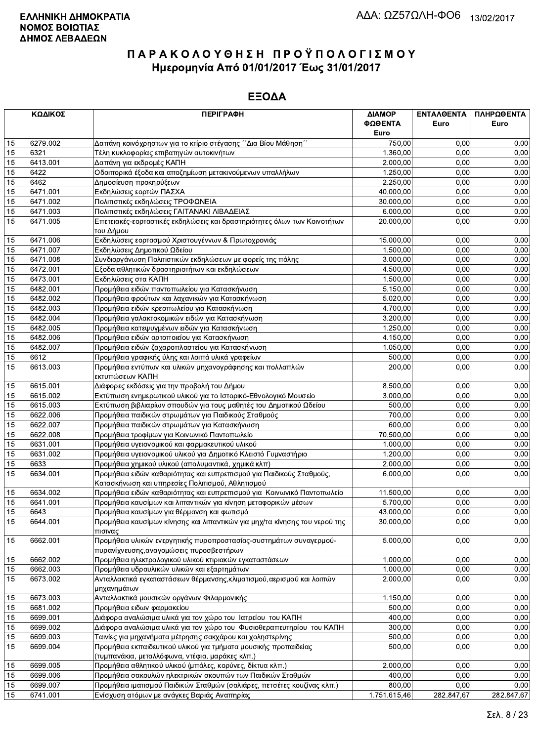|    | ΚΩΔΙΚΟΣ  | <b>ПЕРІГРАФН</b>                                                                                                         | ΔΙΑΜΟΡ<br>ΦΩΘΕΝΤΑ<br>Euro | ΕΝΤΑΛΘΕΝΤΑ<br>Euro | ΠΛΗΡΩΘΕΝΤΑ<br>Euro |
|----|----------|--------------------------------------------------------------------------------------------------------------------------|---------------------------|--------------------|--------------------|
| 15 | 6279.002 | Δαπάνη κοινόχρηστων για το κτίριο στέγασης ΄΄Δια Βίου Μάθηση΄΄                                                           | 750,00                    | 0.00               | 0,00               |
| 15 | 6321     | Τέλη κυκλοφορίας επιβατηγών αυτοκινήτων                                                                                  | 1.360,00                  | 0.00               | 0,00               |
| 15 | 6413.001 | Δαπάνη για εκδρομές ΚΑΠΗ                                                                                                 | 2.000.00                  | 0.00               | 0,00               |
| 15 | 6422     | Οδοιπορικά έξοδα και αποζημίωση μετακινούμενων υπαλλήλων                                                                 | 1.250,00                  | 0,00               | 0,00               |
| 15 | 6462     | Δημοσίευση προκηρύξεων                                                                                                   | 2.250,00                  | 0,00               | 0,00               |
| 15 | 6471.001 | Εκδηλώσεις εορτών ΠΑΣΧΑ                                                                                                  | 40.000,00                 | 0,00               | 0,00               |
| 15 | 6471.002 | Πολιτιστικές εκδηλώσεις ΤΡΟΦΩΝΕΙΑ                                                                                        | 30.000,00                 | 0,00               | 0,00               |
| 15 | 6471.003 | Πολιτιστικές εκδηλώσεις ΓΑΙΤΑΝΑΚΙ ΛΙΒΑΔΕΙΑΣ                                                                              | 6.000,00                  | 0,00               | 0,00               |
| 15 | 6471.005 | Επετειακές-εορταστικές εκδηλώσεις και δραστηριότητες όλων των Κοινοτήτων<br>του Δήμου                                    | 20.000,00                 | 0,00               | 0,00               |
| 15 | 6471.006 | Εκδηλώσεις εορτασμού Χριστουγέννων & Πρωτοχρονιάς                                                                        | 15.000,00                 | 0.00               | 0,00               |
| 15 | 6471.007 | Εκδηλώσεις Δημοτικού Ωδείου                                                                                              | 1.500,00                  | 0,00               | 0,00               |
| 15 | 6471.008 | Συνδιοργάνωση Πολιτιστικών εκδηλώσεων με φορείς της πόλης                                                                | 3.000,00                  | 0,00               | 0,00               |
| 15 | 6472.001 | Εξοδα αθλητικών δραστηριοτήτων και εκδηλώσεων                                                                            | 4.500,00                  | 0,00               | 0,00               |
| 15 | 6473.001 | Εκδηλώσεις στα ΚΑΠΗ                                                                                                      | 1.500,00                  | 0.00               | 0,00               |
| 15 | 6482.001 | Προμήθεια ειδών παντοπωλείου για Κατασκήνωση                                                                             | 5.150,00                  | 0,00               | 0,00               |
| 15 | 6482.002 | Προμήθεια φρούτων και λαχανικών για Κατασκήνωση                                                                          | 5.020,00                  | 0,00               | 0,00               |
| 15 | 6482.003 | Προμήθεια ειδών κρεοπωλείου για Κατασκήνωση                                                                              | 4.700,00                  | 0.00               | 0,00               |
| 15 | 6482.004 | Προμήθεια γαλακτοκομικών ειδών για Κατασκήνωση                                                                           | 3.200,00                  | 0,00               | 0,00               |
| 15 | 6482.005 | Προμήθεια κατεψυγμένων ειδών για Κατασκήνωση                                                                             | 1.250,00                  | 0,00               | 0,00               |
| 15 | 6482.006 | Προμήθεια ειδών αρτοποιείου για Κατασκήνωση                                                                              | 4.150,00                  | 0,00               | 0,00               |
| 15 | 6482.007 | Προμήθεια ειδών ζαχαροπλαστείου για Κατασκήνωση                                                                          | 1.050,00                  | 0,00               | 0,00               |
| 15 | 6612     | Προμήθεια γραφικής ύλης και λοιπά υλικά γραφείων                                                                         | 500,00                    | 0,00               | 0,00               |
| 15 | 6613.003 | Προμήθεια εντύπων και υλικών μηχανογράφησης και πολλαπλών<br>εκτυπώσεων ΚΑΠΗ                                             | 200,00                    | 0.00               | 0,00               |
| 15 | 6615.001 | Διάφορες εκδόσεις για την προβολή του Δήμου                                                                              | 8.500,00                  | 0.00               | 0,00               |
| 15 | 6615.002 | Εκτύπωση ενημερωτικού υλικού για το Ιστορικό-Εθνολογικό Μουσείο                                                          | 3.000,00                  | 0,00               | 0,00               |
| 15 | 6615.003 | Εκτύπωση βιβλιαρίων σπουδών για τους μαθητές του Δημοτικού Ωδείου                                                        | 500,00                    | 0,00               | 0,00               |
| 15 | 6622.006 | Προμήθεια παιδικών στρωμάτων για Παιδικούς Σταθμούς                                                                      | 700,00                    | 0,00               | 0,00               |
| 15 | 6622.007 | Προμήθεια παιδικών στρωμάτων για Κατασκήνωση                                                                             | 600,00                    | 0,00               | 0,00               |
| 15 | 6622.008 | Προμήθεια τροφίμων για Κοινωνικό Παντοπωλείο                                                                             | 70.500,00                 | 0.00               | 0,00               |
| 15 | 6631.001 | Προμήθεια υγειονομικού και φαρμακευτικού υλικού                                                                          | 1.000,00                  | 0,00               | 0,00               |
| 15 | 6631.002 | Προμήθεια υγειονομικού υλικού για Δημοτικό Κλειστό Γυμναστήριο                                                           | 1.200,00                  | 0,00               | 0,00               |
| 15 | 6633     | Προμήθεια χημικού υλικού (απολυμαντικά, χημικά κλπ)                                                                      | 2.000,00                  | 0,00               | 0,00               |
| 15 | 6634.001 | Προμήθεια ειδών καθαριότητας και ευπρεπισμού για Παιδικούς Σταθμούς,<br>Κατασκήνωση και υπηρεσίες Πολιτισμού, Αθλητισμού | 6.000,00                  | 0,00               | 0,00               |
| 15 | 6634.002 | Προμήθεια ειδών καθαριότητας και ευπρεπισμού για Κοινωνικό Παντοπωλείο                                                   | 11.500,00                 | 0,00               | 0,00               |
| 15 | 6641.001 | Προμήθεια καυσίμων και λιπαντικών για κίνηση μεταφορικών μέσων                                                           | 5.700,00                  | 0,00               | 0,00               |
| 15 | 6643     | Προμήθεια καυσίμων για θέρμανση και φωτισμό                                                                              | 43.000,00                 | 0,00               | 0,00               |
| 15 | 6644.001 | Προμήθεια καυσίμων κίνησης και λιπαντικών για μηχ/τα κίνησης του νερού της<br>πισινας                                    | 30.000,00                 | 0,00               | 0,00               |
| 15 | 6662.001 | Προμήθεια υλικών ενεργητικής πυροπροστασίας-συστημάτων συναγερμού-<br>πυρανίχνευσης, αναγομώσεις πυροσβεστήρων           | 5.000,00                  | 0,00               | 0,00               |
| 15 | 6662.002 | Προμήθεια ηλεκτρολογικού υλικού κτιριακών εγκαταστάσεων                                                                  | 1.000,00                  | 0,00               | 0,00               |
| 15 | 6662.003 | Προμήθεια υδραυλικών υλικών και εξαρτημάτων                                                                              | 1.000,00                  | 0,00               | 0,00               |
| 15 | 6673.002 | Ανταλλακτικά εγκαταστάσεων θέρμανσης, κλιματισμού, αερισμού και λοιπών<br>μηχανημάτων                                    | 2.000,00                  | 0,00               | 0,00               |
| 15 | 6673.003 | Ανταλλακτικά μουσικών οργάνων Φιλαρμονικής                                                                               | 1.150,00                  | 0.00               | 0,00               |
| 15 | 6681.002 | Προμήθεια ειδων φαρμακείου                                                                                               | 500,00                    | 0,00               | 0,00               |
| 15 | 6699.001 | Διάφορα αναλώσιμα υλικά για τον χώρο του Ιατρείου του ΚΑΠΗ                                                               | 400,00                    | 0,00               | 0,00               |
| 15 | 6699.002 | Διάφορα αναλώσιμα υλικά για τον χώρο του Φυσιοθεραπευτηρίου του ΚΑΠΗ                                                     | 300,00                    | 0,00               | 0,00               |
| 15 | 6699.003 | Ταινίες για μηχανήματα μέτρησης σακχάρου και χοληστερίνης                                                                | 500,00                    | 0,00               | 0,00               |
| 15 | 6699.004 | Προμήθεια εκπαιδευτικού υλικού για τμήματα μουσικής προπαιδείας<br>(τυμπανάκια, μεταλλόφωνα, ντέφια, μαράκες κλπ.)       | 500,00                    | 0,00               | 0,00               |
| 15 | 6699.005 | Προμήθεια αθλητικού υλικού (μπάλες, κορύνες, δίκτυα κλπ.)                                                                | 2.000,00                  | 0,00               | 0,00               |
| 15 | 6699.006 | Προμήθεια σακουλών ηλεκτρικών σκουπών των Παιδικών Σταθμών                                                               | 400,00                    | 0,00               | 0,00               |
| 15 | 6699.007 | Προμήθεια ιματισμού Παιδικών Σταθμών (σαλιάρες, πετσέτες κουζίνας κλπ.)                                                  | 800,00                    | 0,00               | 0,00               |
| 15 | 6741.001 | Ενίσχυση ατόμων με ανάγκες Βαριάς Αναπηρίας                                                                              | 1.751.615,46              | 282.847,67         | 282.847,67         |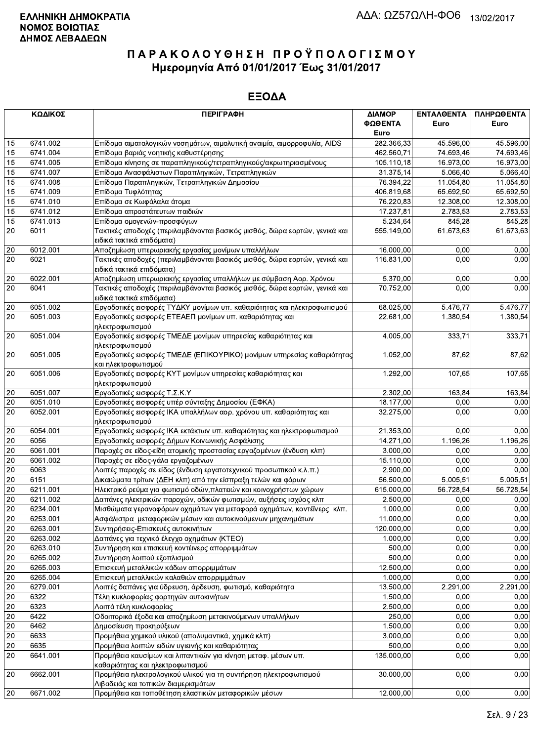|                 | ΚΩΔΙΚΟΣ  | <b>ПЕРІГРАФН</b>                                                                                        | ΔΙΑΜΟΡ     | ΕΝΤΑΛΘΕΝΤΑ | ΠΛΗΡΩΘΕΝΤΑ |
|-----------------|----------|---------------------------------------------------------------------------------------------------------|------------|------------|------------|
|                 |          |                                                                                                         | ΦΩΘΕΝΤΑ    | Euro       | Euro       |
|                 |          |                                                                                                         | Euro       |            |            |
| 15              | 6741.002 | Επίδομα αιματολογικών νοσημάτων, αιμολυτική αναιμία, αιμορροφυλία, AIDS                                 | 282.366,33 | 45.596,00  | 45.596,00  |
| 15              | 6741.004 | Επίδομα βαριάς νοητικής καθυστέρησης                                                                    | 462.560,71 | 74.693,46  | 74.693,46  |
| 15              | 6741.005 | Επίδομα κίνησης σε παραπληγικούς/τετραπληγικούς/ακρωτηριασμένους                                        | 105.110,18 | 16.973,00  | 16.973,00  |
| $\overline{15}$ | 6741.007 | Επίδομα Ανασφάλιστων Παραπληγικών, Τετραπληγικών                                                        | 31.375,14  | 5.066,40   | 5.066,40   |
| 15              | 6741.008 | Επίδομα Παραπληγικών, Τετραπληγικών Δημοσίου                                                            | 76.394,22  | 11.054,80  | 11.054,80  |
| 15              | 6741.009 | Επίδομα Τυφλότητας                                                                                      | 406.819,68 | 65.692,50  | 65.692,50  |
| 15              | 6741.010 | Επίδομα σε Κωφάλαλα άτομα                                                                               | 76.220,83  | 12.308,00  | 12.308,00  |
| 15              | 6741.012 | Επίδομα απροστάτευτων παιδιών                                                                           | 17.237,81  | 2.783,53   | 2.783,53   |
| 15              | 6741.013 | Επίδομα ομογενών-προσφύγων                                                                              | 5.234,64   | 845,28     | 845,28     |
| 20              | 6011     | Τακτικές αποδοχές (περιλαμβάνονται βασικός μισθός, δώρα εορτών, γενικά και<br>ειδικά τακτικά επιδόματα) | 555.149,00 | 61.673,63  | 61.673,63  |
| 20              | 6012.001 | Αποζημίωση υπερωριακής εργασίας μονίμων υπαλλήλων                                                       | 16.000,00  | 0,00       | 0,00       |
| 20              | 6021     | Τακτικές αποδοχές (περιλαμβάνονται βασικός μισθός, δώρα εορτών, γενικά και                              | 116.831,00 | 0,00       | 0,00       |
|                 |          | ειδικά τακτικά επιδόματα)                                                                               |            |            |            |
| $20\,$          | 6022.001 | Αποζημίωση υπερωριακής εργασίας υπαλλήλων με σύμβαση Αορ. Χρόνου                                        | 5.370,00   | 0,00       | 0,00       |
| 20              | 6041     | Τακτικές αποδοχές (περιλαμβάνονται βασικός μισθός, δώρα εορτών, γενικά και                              | 70.752,00  | 0,00       | 0,00       |
|                 |          | ειδικά τακτικά επιδόματα)                                                                               |            |            |            |
| 20              | 6051.002 | Εργοδοτικές εισφορές ΤΥΔΚΥ μονίμων υπ. καθαριότητας και ηλεκτροφωτισμού                                 | 68.025,00  | 5.476,77   | 5.476,77   |
| 20              | 6051.003 | Εργοδοτικές εισφορές ΕΤΕΑΕΠ μονίμων υπ. καθαριότητας και                                                | 22.681,00  | 1.380,54   | 1.380,54   |
|                 |          | ηλεκτροφωτισμού                                                                                         |            |            |            |
| 20              | 6051.004 | Εργοδοτικές εισφορές ΤΜΕΔΕ μονίμων υπηρεσίας καθαριότητας και                                           | 4.005,00   | 333,71     | 333,71     |
|                 |          | ηλεκτροφωτισμού                                                                                         |            |            |            |
| 20              | 6051.005 | Εργοδοτικές εισφορές ΤΜΕΔΕ (ΕΠΙΚΟΥΡΙΚΟ) μονίμων υπηρεσίας καθαριότητας<br>και ηλεκτροφωτισμού           | 1.052,00   | 87,62      | 87,62      |
| 20              | 6051.006 | Εργοδοτικές εισφορές ΚΥΤ μονίμων υπηρεσίας καθαριότητας και                                             | 1.292,00   | 107,65     | 107,65     |
|                 |          | ηλεκτροφωτισμού                                                                                         |            |            |            |
| 20              | 6051.007 | Εργοδοτικές εισφορές Τ.Σ.Κ.Υ                                                                            | 2.302,00   | 163,84     | 163,84     |
| 20              | 6051.010 | Εργοδοτικές εισφορές υπέρ σύνταξης Δημοσίου (ΕΦΚΑ)                                                      | 18.177,00  | 0,00       | 0,00       |
| 20              | 6052.001 | Εργοδοτικές εισφορές ΙΚΑ υπαλλήλων αορ. χρόνου υπ. καθαριότητας και<br>ηλεκτροφωτισμού                  | 32.275,00  | 0,00       | 0,00       |
| $20\,$          | 6054.001 | Εργοδοτικές εισφορές ΙΚΑ εκτάκτων υπ. καθαριότητας και ηλεκτροφωτισμού                                  | 21.353,00  | 0.00       | 0,00       |
| 20              | 6056     | Εργοδοτικές εισφορές Δήμων Κοινωνικής Ασφάλισης                                                         | 14.271,00  | 1.196,26   | 1.196,26   |
| 20              | 6061.001 | Παροχές σε είδος-είδη ατομικής προστασίας εργαζομένων (ένδυση κλπ)                                      | 3.000,00   | 0,00       | 0,00       |
| $20\,$          | 6061.002 | Παροχές σε είδος-γάλα εργαζομένων                                                                       | 15.110,00  | 0,00       | 0,00       |
| 20              | 6063     | Λοιπές παροχές σε είδος (ένδυση εργατοτεχνικού προσωπικού κ.λ.π.)                                       | 2.900,00   | 0,00       | 0,00       |
| $20\,$          | 6151     | Δικαιώματα τρίτων (ΔΕΗ κλπ) από την είσπραξη τελών και φόρων                                            | 56.500,00  | 5.005,51   | 5.005,51   |
| 20              | 6211.001 | Ηλεκτρικό ρεύμα για φωτισμό οδών, πλατειών και κοινοχρήστων χώρων                                       | 615.000,00 | 56.728,54  | 56.728,54  |
| 20              | 6211.002 | Δαπάνες ηλεκτρικών παροχών, οδικών φωτισμών, αυξήσεις ισχύος κλπ                                        | 2.500,00   | 0,00       | 0,00       |
| 20              | 6234.001 | Μισθώματα γερανοφόρων οχημάτων για μεταφορά οχημάτων, κοντέϊνερς κλπ.                                   | 1.000,00   | 0,00       | 0,00       |
| 20              | 6253.001 | Ασφάλιστρα μεταφορικών μέσων και αυτοκινούμενων μηχανημάτων                                             | 11.000,00  | 0,00       | 0,00       |
| 20              | 6263.001 | Συντηρήσεις-Επισκευές αυτοκινήτων                                                                       | 120.000,00 | 0,00       | 0,00       |
| $20\,$          | 6263.002 | Δαπάνες για τεχνικό έλεγχο οχημάτων (ΚΤΕΟ)                                                              | 1.000,00   | 0,00       | 0,00       |
| $20\,$          | 6263.010 | Συντήρηση και επισκευή κοντέινερς απορριμμάτων                                                          | 500,00     | 0,00       | 0,00       |
| $20\,$          | 6265.002 | Συντήρηση λοιπού εξοπλισμού                                                                             | 500,00     | 0,00       | 0,00       |
| $\overline{20}$ | 6265.003 | Επισκευή μεταλλικών κάδων απορριμμάτων                                                                  | 12.500,00  | 0,00       | 0,00       |
| $20\,$          | 6265.004 | Επισκευή μεταλλικών καλαθιών απορριμμάτων                                                               | 1.000,00   | 0,00       | 0,00       |
| 20              | 6279.001 | Λοιπές δαπάνες για ύδρευση, άρδευση, φωτισμό, καθαριότητα                                               | 13.500,00  | 2.291,00   | 2.291,00   |
| 20              | 6322     | Τέλη κυκλοφορίας φορτηγών αυτοκινήτων                                                                   | 1.500,00   | 0,00       | 0,00       |
| $20\,$          | 6323     | Λοιπά τέλη κυκλοφορίας                                                                                  | 2.500,00   | 0,00       | 0,00       |
| $\overline{20}$ | 6422     | Οδοιπορικά έξοδα και αποζημίωση μετακινούμενων υπαλλήλων                                                | 250,00     | 0,00       | 0,00       |
| 20              | 6462     | Δημοσίευση προκηρύξεων                                                                                  | 1.500,00   | 0,00       | 0,00       |
| 20              | 6633     | Προμήθεια χημικού υλικού (απολυμαντικά, χημικά κλπ)                                                     | 3.000,00   | 0,00       | 0,00       |
| 20              | 6635     | Προμήθεια λοιπών ειδών υγιεινής και καθαριότητας                                                        | 500,00     | 0,00       | 0,00       |
| 20              | 6641.001 | Προμήθεια καυσίμων και λιπαντικών για κίνηση μεταφ. μέσων υπ.                                           | 135.000,00 | 0,00       | 0,00       |
|                 |          | καθαριότητας και ηλεκτροφωτισμού                                                                        |            |            |            |
| 20              | 6662.001 | Προμήθεια ηλεκτρολογικού υλικού για τη συντήρηση ηλεκτροφωτισμού                                        | 30.000,00  | 0,00       | 0,00       |
|                 |          | Λιβαδειάς και τοπικών διαμερισμάτων                                                                     |            |            |            |
| 20              | 6671.002 | Προμήθεια και τοποθέτηση ελαστικών μεταφορικών μέσων                                                    | 12.000,00  | 0,00       | 0,00       |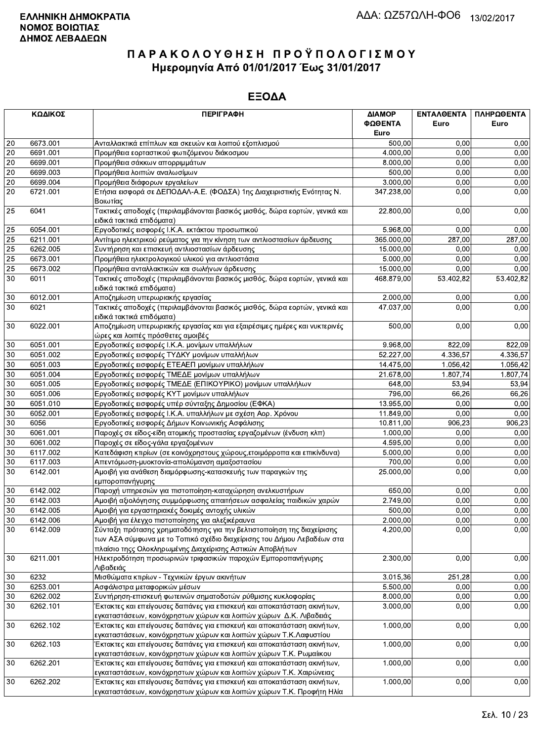|    | ΚΩΔΙΚΟΣ  | <b>ПЕРІГРАФН</b>                                                                                                                                                                                             | ΔΙΑΜΟΡ<br>ΦΩΘΕΝΤΑ | ΕΝΤΑΛΘΕΝΤΑ<br>Euro | ΠΛΗΡΩΘΕΝΤΑ<br>Euro |
|----|----------|--------------------------------------------------------------------------------------------------------------------------------------------------------------------------------------------------------------|-------------------|--------------------|--------------------|
|    |          |                                                                                                                                                                                                              | Euro              |                    |                    |
| 20 | 6673.001 | Ανταλλακτικά επίπλων και σκευών και λοιπού εξοπλισμού                                                                                                                                                        | 500,00            | 0.00               | 0,00               |
| 20 | 6691.001 | Προμήθεια εορταστικού φωτιζόμενου διάκοσμου                                                                                                                                                                  | 4.000,00          | 0.00               | 0,00               |
| 20 | 6699.001 | Προμήθεια σάκκων απορριμμάτων                                                                                                                                                                                | 8.000,00          | 0,00               | 0,00               |
| 20 | 6699.003 | Προμήθεια λοιπών αναλωσίμων                                                                                                                                                                                  | 500,00            | 0,00               | 0,00               |
| 20 | 6699.004 | Προμήθεια διάφορων εργαλείων                                                                                                                                                                                 | 3.000,00          | 0,00               | 0,00               |
| 20 | 6721.001 | Ετήσια εισφορά σε ΔΕΠΟΔΑΛ-Α.Ε. (ΦΟΔΣΑ) 1ης Διαχειριστικής Ενότητας Ν.<br>Βοιωτίας                                                                                                                            | 347.238,00        | 0,00               | 0,00               |
| 25 | 6041     | Τακτικές αποδοχές (περιλαμβάνονται βασικός μισθός, δώρα εορτών, γενικά και<br>ειδικά τακτικά επιδόματα)                                                                                                      | 22.800,00         | 0,00               | 0,00               |
| 25 | 6054.001 | Εργοδοτικές εισφορές Ι.Κ.Α. εκτάκτου προσωπικού                                                                                                                                                              | 5.968,00          | 0.00               | 0,00               |
| 25 | 6211.001 | Αντίτιμο ηλεκτρικού ρεύματος για την κίνηση των αντλιοστασίων άρδευσης                                                                                                                                       | 365.000,00        | 287,00             | 287,00             |
| 25 | 6262.005 | Συντήρηση και επισκευή αντλιοστασίων άρδευσης                                                                                                                                                                | 15.000,00         | 0,00               | 0,00               |
| 25 | 6673.001 | Προμήθεια ηλεκτρολογικού υλικού για αντλιοστάσια                                                                                                                                                             | 5.000,00          | 0.00               | 0,00               |
| 25 | 6673.002 | Προμήθεια ανταλλακτικών και σωλήνων άρδευσης                                                                                                                                                                 | 15.000,00         | 0,00               | 0,00               |
| 30 | 6011     | Τακτικές αποδοχές (περιλαμβάνονται βασικός μισθός, δώρα εορτών, γενικά και<br>ειδικά τακτικά επιδόματα)                                                                                                      | 468.879,00        | 53.402,82          | 53.402,82          |
| 30 | 6012.001 | Αποζημίωση υπερωριακής εργασίας                                                                                                                                                                              | 2.000,00          | 0,00               | 0,00               |
| 30 | 6021     | Τακτικές αποδοχές (περιλαμβάνονται βασικός μισθός, δώρα εορτών, γενικά και<br>ειδικά τακτικά επιδόματα)                                                                                                      | 47.037,00         | 0,00               | 0,00               |
| 30 | 6022.001 | Αποζημίωση υπερωριακής εργασίας και για εξαιρέσιμες ημέρες και νυκτερινές<br>ώρες και λοιπές πρόσθετες αμοιβές                                                                                               | 500,00            | 0,00               | 0,00               |
| 30 | 6051.001 | Εργοδοτικές εισφορές Ι.Κ.Α. μονίμων υπαλλήλων                                                                                                                                                                | 9.968,00          | 822,09             | 822,09             |
| 30 | 6051.002 | Εργοδοτικές εισφορές ΤΥΔΚΥ μονίμων υπαλλήλων                                                                                                                                                                 | 52.227,00         | 4.336,57           | 4.336,57           |
| 30 | 6051.003 | Εργοδοτικές εισφορές ΕΤΕΑΕΠ μονίμων υπαλλήλων                                                                                                                                                                | 14.475,00         | 1.056,42           | 1.056,42           |
| 30 | 6051.004 | Εργοδοτικές εισφορές ΤΜΕΔΕ μονίμων υπαλλήλων                                                                                                                                                                 | 21.678,00         | 1.807,74           | 1.807,74           |
| 30 | 6051.005 | Εργοδοτικές εισφορές ΤΜΕΔΕ (ΕΠΙΚΟΥΡΙΚΟ) μονίμων υπαλλήλων                                                                                                                                                    | 648,00            | 53,94              | 53,94              |
| 30 | 6051.006 | Εργοδοτικές εισφορές ΚΥΤ μονίμων υπαλλήλων                                                                                                                                                                   | 796,00            | 66,26              | 66,26              |
| 30 | 6051.010 | Εργοδοτικές εισφορές υπέρ σύνταξης Δημοσίου (ΕΦΚΑ)                                                                                                                                                           | 13.955,00         | 0,00               | 0,00               |
| 30 | 6052.001 | Εργοδοτικές εισφορές Ι.Κ.Α. υπαλλήλων με σχέση Αορ. Χρόνου                                                                                                                                                   | 11.849,00         | 0,00               | 0,00               |
| 30 | 6056     | Εργοδοτικές εισφορές Δήμων Κοινωνικής Ασφάλισης                                                                                                                                                              | 10.811,00         | 906,23             | 906,23             |
| 30 | 6061.001 | Παροχές σε είδος-είδη ατομικής προστασίας εργαζομένων (ένδυση κλπ)                                                                                                                                           | 1.000,00          | 0,00               | 0,00               |
| 30 | 6061.002 | Παροχές σε είδος-γάλα εργαζομένων                                                                                                                                                                            | 4.595,00          | 0,00               | 0,00               |
| 30 | 6117.002 | Κατεδάφιση κτιρίων (σε κοινόχρηστους χώρους, ετοιμόρροπα και επικίνδυνα)                                                                                                                                     | 5.000,00          | 0,00               | 0,00               |
| 30 | 6117.003 | Απεντόμωση-μυοκτονία-απολύμανση αμαξοστασίου                                                                                                                                                                 | 700,00            | 0,00               | 0,00               |
| 30 | 6142.001 | Αμοιβή για ανάθεση διαμόρφωσης-κατασκευής των παραγκών της<br>εμποροπανήγυρης                                                                                                                                | 25.000,00         | 0,00               | 0,00               |
| 30 | 6142.002 | Παροχή υπηρεσιών για πιστοποίηση-καταχώρηση ανελκυστήρων                                                                                                                                                     | 650,00            | 0,00               | 0,00               |
| 30 | 6142.003 | Αμοιβή αξιολόγησης συμμόρφωσης απαιτήσεων ασφαλείας παιδικών χαρών                                                                                                                                           | 2.749,00          | 0,00               | 0,00               |
| 30 | 6142.005 | Αμοιβή για εργαστηριακές δοκιμές αντοχής υλικών                                                                                                                                                              | 500,00            | 0.00               | 0.00               |
| 30 | 6142.006 | Αμοιβή για έλεγχο πιστοποίησης για αλεξικέραυνα                                                                                                                                                              | 2.000,00          | 0,00               | 0,00               |
| 30 | 6142.009 | Σύνταξη πρότασης χρηματοδότησης για την βελτιστοποίηση της διαχείρισης<br>των ΑΣΑ σύμφωνα με το Τοπικό σχέδιο διαχείρισης του Δήμου Λεβαδέων στα<br>πλαίσιο τηςς Ολοκληρωμένης Διαχείρισης Αστικών Αποβλήτων | 4.200,00          | 0,00               | 0,00               |
| 30 | 6211.001 | Ηλεκτροδότηση προσωρινών τριφασικών παροχών Εμποροπανήγυρης<br>Λιβαδειάς                                                                                                                                     | 2.300,00          | 0,00               | 0,00               |
| 30 | 6232     | Μισθώματα κτιρίων - Τεχνικών έργων ακινήτων                                                                                                                                                                  | 3.015,36          | 251,28             | 0,00               |
| 30 | 6253.001 | Ασφάλιστρα μεταφορικών μέσων                                                                                                                                                                                 | 5.500,00          | 0,00               | 0,00               |
| 30 | 6262.002 | Συντήρηση-επισκευή φωτεινών σηματοδοτών ρύθμισης κυκλοφορίας                                                                                                                                                 | 8.000,00          | 0,00               | 0,00               |
| 30 | 6262.101 | Έκτακτες και επείγουσες δαπάνες για επισκευή και αποκατάσταση ακινήτων,<br>εγκαταστάσεων, κοινόχρηστων χώρων και λοιπών χώρων Δ.Κ. Λιβαδειάς                                                                 | 3.000,00          | 0,00               | 0,00               |
| 30 | 6262.102 | Έκτακτες και επείγουσες δαπάνες για επισκευή και αποκατάσταση ακινήτων,<br>εγκαταστάσεων, κοινόχρηστων χώρων και λοιπών χώρων Τ.Κ.Λαφυστίου                                                                  | 1.000,00          | 0,00               | 0,00               |
| 30 | 6262.103 | Έκτακτες και επείγουσες δαπάνες για επισκευή και αποκατάσταση ακινήτων,<br>εγκαταστάσεων, κοινόχρηστων χώρων και λοιπών χώρων Τ.Κ. Ρωμαίικου                                                                 | 1.000,00          | 0,00               | 0,00               |
| 30 | 6262.201 | Έκτακτες και επείγουσες δαπάνες για επισκευή και αποκατάσταση ακινήτων,<br>εγκαταστάσεων, κοινόχρηστων χώρων και λοιπών χώρων Τ.Κ. Χαιρώνειας                                                                | 1.000,00          | 0,00               | 0,00               |
| 30 | 6262.202 | Έκτακτες και επείγουσες δαπάνες για επισκευή και αποκατάσταση ακινήτων,<br>εγκαταστάσεων, κοινόχρηστων χώρων και λοιπών χώρων Τ.Κ. Προφήτη Ηλία                                                              | 1.000,00          | 0,00               | 0,00               |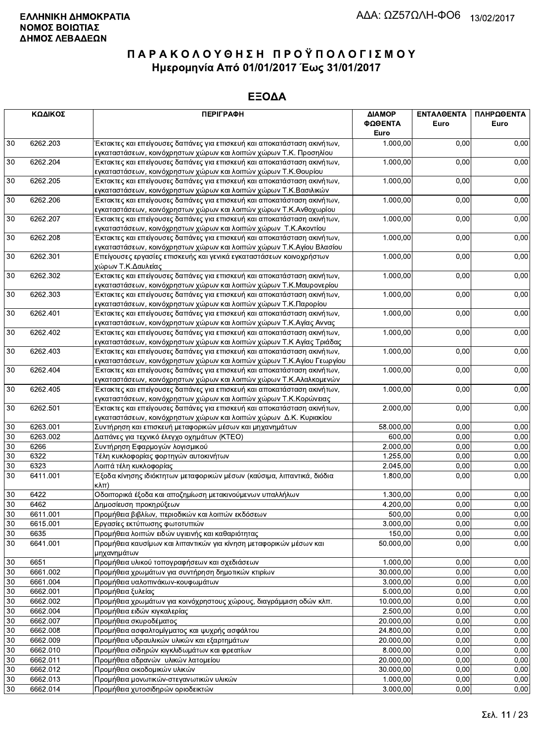|        | ΚΩΔΙΚΟΣ  | <b>ПЕРІГРАФН</b>                                                                                                                                 | ΔΙΑΜΟΡ<br>ΦΩΘΕΝΤΑ<br>Euro | <b>ENTAA@ENTA</b><br>Euro | ΠΛΗΡΩΘΕΝΤΑ<br>Euro |
|--------|----------|--------------------------------------------------------------------------------------------------------------------------------------------------|---------------------------|---------------------------|--------------------|
| 30     | 6262.203 | Έκτακτες και επείγουσες δαπάνες για επισκευή και αποκατάσταση ακινήτων,                                                                          | 1.000,00                  | 0,00                      | 0,00               |
|        |          | εγκαταστάσεων, κοινόχρηστων χώρων και λοιπών χώρων Τ.Κ. Προσηλίου                                                                                |                           |                           |                    |
| 30     | 6262.204 | Έκτακτες και επείγουσες δαπάνες για επισκευή και αποκατάσταση ακινήτων,<br>εγκαταστάσεων, κοινόχρηστων χώρων και λοιπών χώρων Τ.Κ.Θουρίου        | 1.000,00                  | 0,00                      | 0,00               |
| 30     | 6262.205 | Έκτακτες και επείγουσες δαπάνες για επισκευή και αποκατάσταση ακινήτων,<br>εγκαταστάσεων, κοινόχρηστων χώρων και λοιπών χώρων Τ.Κ.Βασιλικών      | 1.000,00                  | 0,00                      | 0,00               |
| 30     | 6262.206 | Έκτακτες και επείγουσες δαπάνες για επισκευή και αποκατάσταση ακινήτων,<br>εγκαταστάσεων, κοινόχρηστων χώρων και λοιπών χώρων Τ.Κ.Ανθοχωρίου     | 1.000,00                  | 0,00                      | 0,00               |
| 30     | 6262.207 | Έκτακτες και επείγουσες δαπάνες για επισκευή και αποκατάσταση ακινήτων,<br>εγκαταστάσεων, κοινόχρηστων χώρων και λοιπών χώρων Τ.Κ. Ακοντίου      | 1.000,00                  | 0,00                      | 0,00               |
| 30     | 6262.208 | Έκτακτες και επείγουσες δαπάνες για επισκευή και αποκατάσταση ακινήτων,<br>εγκαταστάσεων, κοινόχρηστων χώρων και λοιπών χώρων Τ.Κ.Αγίου Βλασίου  | 1.000,00                  | 0,00                      | 0,00               |
| 30     | 6262.301 | Επείγουσες εργασίες επισκευής και γενικά εγκαταστάσεων κοινοχρήστων<br>χώρων Τ.Κ.Δαυλείας                                                        | 1.000,00                  | 0,00                      | 0,00               |
| 30     | 6262.302 | Έκτακτες και επείγουσες δαπάνες για επισκευή και αποκατάσταση ακινήτων,<br>εγκαταστάσεων, κοινόχρηστων χώρων και λοιπών χώρων Τ.Κ.Μαυρονερίου    | 1.000,00                  | 0,00                      | 0,00               |
| 30     | 6262.303 | Έκτακτες και επείγουσες δαπάνες για επισκευή και αποκατάσταση ακινήτων,<br>εγκαταστάσεων, κοινόχρηστων χώρων και λοιπών χώρων Τ.Κ.Παρορίου       | 1.000,00                  | 0,00                      | 0,00               |
| 30     | 6262.401 | Έκτακτες και επείγουσες δαπάνες για επισκευή και αποκατάσταση ακινήτων,<br>εγκαταστάσεων, κοινόχρηστων χώρων και λοιπών χώρων Τ.Κ.Αγίας Αννας    | 1.000,00                  | 0,00                      | 0,00               |
| $30\,$ | 6262.402 | Έκτακτες και επείγουσες δαπάνες για επισκευή και αποκατάσταση ακινήτων,<br>εγκαταστάσεων, κοινόχρηστων χώρων και λοιπών χώρων Τ.Κ Αγίας Τριάδας  | 1.000,00                  | 0,00                      | 0,00               |
| 30     | 6262.403 | Έκτακτες και επείγουσες δαπάνες για επισκευή και αποκατάσταση ακινήτων,<br>εγκαταστάσεων, κοινόχρηστων χώρων και λοιπών χώρων Τ.Κ.Αγίου Γεωργίου | 1.000,00                  | 0,00                      | 0,00               |
| 30     | 6262.404 | Έκτακτες και επείγουσες δαπάνες για επισκευή και αποκατάσταση ακινήτων,<br>εγκαταστάσεων, κοινόχρηστων χώρων και λοιπών χώρων Τ.Κ.Αλαλκομενών    | 1.000,00                  | 0,00                      | 0,00               |
| 30     | 6262.405 | Έκτακτες και επείγουσες δαπάνες για επισκευή και αποκατάσταση ακινήτων,<br>εγκαταστάσεων, κοινόχρηστων χώρων και λοιπών χώρων Τ.Κ.Κορώνειας      | 1.000,00                  | 0,00                      | 0,00               |
| 30     | 6262.501 | Έκτακτες και επείγουσες δαπάνες για επισκευή και αποκατάσταση ακινήτων,<br>εγκαταστάσεων, κοινόχρηστων χώρων και λοιπών χώρων Δ.Κ. Κυριακίου     | 2.000,00                  | 0,00                      | 0,00               |
| 30     | 6263.001 | Συντήρηση και επισκευή μεταφορικών μέσων και μηχανημάτων                                                                                         | 58.000,00                 | 0,00                      | 0,00               |
| 30     | 6263.002 | Δαπάνες για τεχνικό έλεγχο οχημάτων (ΚΤΕΟ)                                                                                                       | 600,00                    | 0,00                      | 0,00               |
| 30     | 6266     | Συντήρηση Εφαρμογών λογισμικού                                                                                                                   | 2.000,00                  | 0,00                      | 0,00               |
| 30     | 6322     | Τέλη κυκλοφορίας φορτηγών αυτοκινήτων                                                                                                            | 1.255,00                  | 0,00                      | 0,00               |
| 30     | 6323     | Λοιπά τέλη κυκλοφορίας                                                                                                                           | 2.045,00                  | 0,00                      | 0,00               |
| 30     | 6411.001 | Έξοδα κίνησης ιδιόκτητων μεταφορικών μέσων (καύσιμα, λιπαντικά, διόδια<br>$\kappa\lambda\pi$ )                                                   | 1.800,00                  | 0,00                      | 0,00               |
| 30     | 6422     | Οδοιπορικά έξοδα και αποζημίωση μετακινούμενων υπαλλήλων                                                                                         | 1.300,00                  | 0.00                      | 0,00               |
| 30     | 6462     | Δημοσίευση προκηρύξεων                                                                                                                           | 4.200,00                  | 0,00                      | 0,00               |
| 30     | 6611.001 | Προμήθεια βιβλίων, περιοδικών και λοιπών εκδόσεων                                                                                                | 500,00                    | 0,00                      | 0,00               |
| 30     | 6615.001 | Εργασίες εκτύπωσης φωτοτυπιών                                                                                                                    | 3.000,00                  | 0,00                      | 0,00               |
| 30     | 6635     | Προμήθεια λοιπών ειδών υγιεινής και καθαριότητας                                                                                                 | 150,00                    | 0,00                      | 0,00               |
| 30     | 6641.001 | Προμήθεια καυσίμων και λιπαντικών για κίνηση μεταφορικών μέσων και<br>μηχανημάτων                                                                | 50.000,00                 | 0,00                      | 0,00               |
| 30     | 6651     | Προμήθεια υλικού τοπογραφήσεων και σχεδιάσεων                                                                                                    | 1.000,00                  | 0,00                      | 0,00               |
| 30     | 6661.002 | Προμήθεια χρωμάτων για συντήρηση δημοτικών κτιρίων                                                                                               | 30.000,00                 | 0,00                      | 0,00               |
| 30     | 6661.004 | Προμήθεια υαλοπινάκων-κουφωμάτων                                                                                                                 | 3.000,00                  | 0,00                      | 0,00               |
| 30     | 6662.001 | Προμήθεια ξυλείας                                                                                                                                | 5.000,00                  | 0,00                      | 0,00               |
| 30     | 6662.002 | Προμήθεια χρωμάτων για κοινόχρηστους χώρους, διαγράμμιση οδών κλπ.                                                                               | 10.000,00                 | 0,00                      | 0,00               |
| 30     | 6662.004 | Προμήθεια ειδών κιγκαλερίας                                                                                                                      | 2.500,00                  | 0,00                      | 0,00               |
| 30     | 6662.007 | Προμήθεια σκυροδέματος                                                                                                                           | 20.000,00                 | 0,00                      | 0,00               |
| 30     | 6662.008 | Προμήθεια ασφαλτομίγματος και ψυχρής ασφάλτου                                                                                                    | 24.800,00                 | 0,00                      | 0,00               |
| 30     | 6662.009 | Προμήθεια υδραυλικών υλικών και εξαρτημάτων                                                                                                      | 20.000,00                 | 0,00                      | 0,00               |
| 30     | 6662.010 | Προμήθεια σιδηρών κιγκλιδωμάτων και φρεατίων                                                                                                     | 8.000,00                  | 0,00                      | 0,00               |
| 30     | 6662.011 | Προμήθεια αδρανών υλικών λατομείου                                                                                                               | 20.000,00                 | 0,00                      | 0,00               |
| 30     | 6662.012 | Προμήθεια οικοδομικών υλικών                                                                                                                     | 30.000,00                 | 0,00                      | 0,00               |
| 30     | 6662.013 | Προμήθεια μονωτικών-στεγανωτικών υλικών                                                                                                          | 1.000,00                  | 0,00                      | 0,00               |
| 30     | 6662.014 | Προμήθεια χυτοσιδηρών οριοδεικτών                                                                                                                | 3.000,00                  | 0,00                      | 0,00               |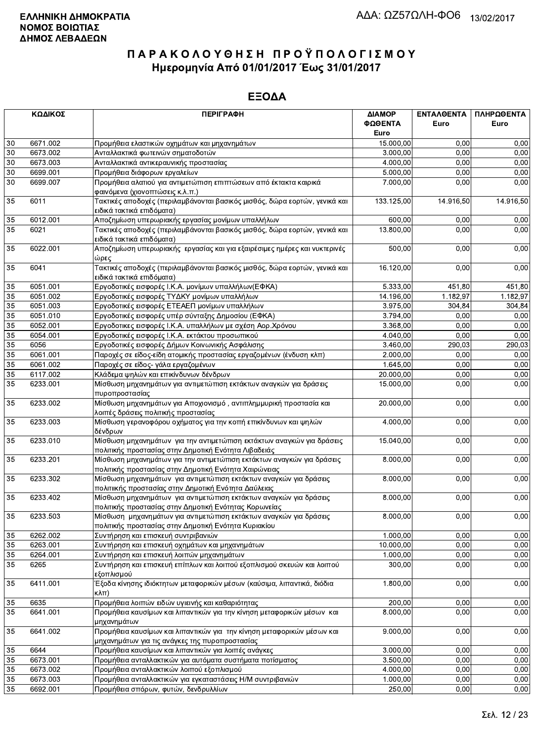|                 | ΚΩΔΙΚΟΣ              | <b>ПЕРІГРАФН</b>                                                                                         | ΔΙΑΜΟΡ<br>ΦΩΘΕΝΤΑ     | ΕΝΤΑΛΘΕΝΤΑ<br>Euro | ΠΛΗΡΩΘΕΝΤΑ<br>Euro |
|-----------------|----------------------|----------------------------------------------------------------------------------------------------------|-----------------------|--------------------|--------------------|
|                 |                      |                                                                                                          | Euro                  |                    |                    |
| 30<br>30        | 6671.002<br>6673.002 | Προμήθεια ελαστικών οχημάτων και μηχανημάτων<br>Ανταλλακτικά φωτεινών σηματοδοτών                        | 15.000,00<br>3.000,00 | 0,00<br>0.00       | 0,00<br>0,00       |
| 30              | 6673.003             | Ανταλλακτικά αντικεραυνικής προστασίας                                                                   | 4.000,00              | 0,00               | 0,00               |
| 30              | 6699.001             | Προμήθεια διάφορων εργαλείων                                                                             | 5.000,00              | 0,00               | 0,00               |
| 30              | 6699.007             | Προμήθεια αλατιού για αντιμετώπιση επιπτώσεων από έκτακτα καιρικά                                        | 7.000,00              | 0,00               | 0,00               |
|                 |                      | φαινόμενα (χιονοπτώσεις κ.λ.π.)                                                                          |                       |                    |                    |
| 35              | 6011                 | Τακτικές αποδοχές (περιλαμβάνονται βασικός μισθός, δώρα εορτών, γενικά και                               | 133.125,00            | 14.916,50          | 14.916,50          |
|                 |                      | ειδικά τακτικά επιδόματα)                                                                                |                       |                    |                    |
| 35              | 6012.001             | Αποζημίωση υπερωριακής εργασίας μονίμων υπαλλήλων                                                        | 600,00                | 0,00               | 0,00               |
| 35              | 6021                 | Τακτικές αποδοχές (περιλαμβάνονται βασικός μισθός, δώρα εορτών, γενικά και                               | 13.800,00             | 0,00               | 0,00               |
|                 |                      | ειδικά τακτικά επιδόματα)                                                                                |                       |                    |                    |
| 35              | 6022.001             | Αποζημίωση υπερωριακής εργασίας και για εξαιρέσιμες ημέρες και νυκτερινές                                | 500,00                | 0,00               | 0,00               |
|                 |                      | ώρες                                                                                                     |                       |                    |                    |
| 35              | 6041                 | Τακτικές αποδοχές (περιλαμβάνονται βασικός μισθός, δώρα εορτών, γενικά και                               | 16.120,00             | 0,00               | 0,00               |
|                 |                      | ειδικά τακτικά επιδόματα)                                                                                |                       |                    |                    |
| 35              | 6051.001             | Εργοδοτικές εισφορές Ι.Κ.Α. μονίμων υπαλλήλων(ΕΦΚΑ)                                                      | 5.333,00              | 451,80             | 451,80             |
| 35              | 6051.002             | Εργοδοτικές εισφορές ΤΥΔΚΥ μονίμων υπαλλήλων                                                             | 14.196,00             | 1.182,97           | 1.182,97           |
| 35              | 6051.003             | Εργοδοτικές εισφορές ΕΤΕΑΕΠ μονίμων υπαλλήλων                                                            | 3.975,00              | 304,84             | 304,84             |
| 35              | 6051.010             | Εργοδοτικές εισφορές υπέρ σύνταξης Δημοσίου (ΕΦΚΑ)                                                       | 3.794,00              | 0,00               | 0,00               |
| 35              | 6052.001             | Εργοδοτικες εισφορές Ι.Κ.Α. υπαλλήλων με σχέση Αορ.Χρόνου                                                | 3.368,00              | 0,00               | 0,00               |
| 35              | 6054.001             | Εργοδοτικές εισφορές Ι.Κ.Α. εκτάκτου προσωπικού                                                          | 4.040,00              | 0,00               | 0,00               |
| 35              | 6056                 | Εργοδοτικές εισφορές Δήμων Κοινωνικής Ασφάλισης                                                          | 3.460,00              | 290,03             | 290,03             |
| 35              | 6061.001             | Παροχές σε είδος-είδη ατομικής προστασίας εργαζομένων (ένδυση κλπ)                                       | 2.000,00              | 0,00               | 0,00               |
| 35              | 6061.002             | Παροχές σε είδος- γάλα εργαζομένων                                                                       | 1.645,00              | 0,00               | 0,00               |
| 35              | 6117.002             | Κλάδεμα ψηλών και επικίνδυνων δένδρων                                                                    | 20.000,00             | 0,00               | 0,00               |
| $\overline{35}$ | 6233.001             | Μίσθωση μηχανημάτων για αντιμετώπιση εκτάκτων αναγκών για δράσεις                                        | 15.000,00             | 0,00               | 0,00               |
|                 |                      | πυροπροστασίας                                                                                           |                       |                    |                    |
| 35              | 6233.002             | Μίσθωση μηχανημάτων για Αποχιονισμό, αντιπλημμυρική προστασία και<br>λοιπές δράσεις πολιτικής προστασίας | 20.000,00             | 0,00               | 0,00               |
| 35              | 6233.003             | Μίσθωση γερανοφόρου οχήματος για την κοπή επικίνδυνων και ψηλών                                          | 4.000,00              | 0,00               | 0,00               |
| 35              | 6233.010             | δένδρων<br>Μίσθωση μηχανημάτων για την αντιμετώπιση εκτάκτων αναγκών για δράσεις                         | 15.040,00             | $\overline{0,00}$  | 0,00               |
|                 |                      | πολιτικής προστασίας στην Δημοτική Ενότητα Λιβαδειάς                                                     |                       |                    |                    |
| 35              | 6233.201             | Μίσθωση μηχανημάτων για την αντιμετώπιση εκτάκτων αναγκών για δράσεις                                    | 8.000,00              | 0,00               | 0,00               |
|                 |                      | πολιτικής προστασίας στην Δημοτική Ενότητα Χαιρώνειας                                                    |                       |                    |                    |
| 35              | 6233.302             | Μίσθωση μηχανημάτων για αντιμετώπιση εκτάκτων αναγκών για δράσεις                                        | 8.000,00              | 0,00               | 0,00               |
|                 |                      | πολιτιικής προστασίας στην Δημοτική Ενότητα Δαύλειας                                                     |                       |                    |                    |
| 35              | 6233.402             | Μίσθωση μηχανημάτων για αντιμετώπιση εκτάκτων αναγκών για δράσεις                                        | 8.000,00              | 0,00               | 0,00               |
|                 |                      | πολιτικής προστασίας στην Δημοτική Ενότητας Κορωνείας                                                    |                       |                    |                    |
| 35              | 6233.503             | Μίσθωση μηχανημάτων για αντιμετώπιση εκτάκτων αναγκών για δράσεις                                        | 8.000,00              | 0,00               | 0,00               |
|                 |                      | πολιτικής προστασίας στην Δημοτική Ενότητα Κυριακίου                                                     |                       |                    |                    |
| 35              | 6262.002             | Συντήρηση και επισκευή συντριβανιών                                                                      | 1.000,00              | 0,00               | 0,00               |
| 35              | 6263.001             | Συντήρηση και επισκευή οχημάτων και μηχανημάτων                                                          | 10.000,00             | 0,00               | 0,00               |
| 35              | 6264.001             | Συντήρηση και επισκευή λοιπών μηχανημάτων                                                                | 1.000,00              | 0,00               | 0,00               |
| 35              | 6265                 | Συντήρηση και επισκευή επίπλων και λοιπού εξοπλισμού σκευών και λοιπού<br>εξοπλισμού                     | 300,00                | 0,00               | 0,00               |
| 35              | 6411.001             | Έξοδα κίνησης ιδιόκτητων μεταφορικών μέσων (καύσιμα, λιπαντικά, διόδια<br>$K\lambda\pi$ )                | 1.800,00              | 0,00               | 0,00               |
| 35              | 6635                 | Προμήθεια λοιπών ειδών υγιεινής και καθαριότητας                                                         | 200,00                | 0,00               | 0,00               |
| 35              | 6641.001             | Προμήθεια καυσίμων και λιπαντικών για την κίνηση μεταφορικών μέσων και                                   | 8.000,00              | 0,00               | 0,00               |
|                 |                      | μηχανημάτων                                                                                              |                       |                    |                    |
| 35              | 6641.002             | Προμήθεια καυσίμων και λιπαντικών για την κίνηση μεταφορικών μέσων και                                   | 9.000,00              | 0,00               | 0,00               |
|                 |                      | μηχανημάτων για τις ανάγκες της πυροπροστασίας                                                           |                       |                    |                    |
| 35              | 6644                 | Προμήθεια καυσίμων και λιπαντικών για λοιπές ανάγκες                                                     | 3.000,00              | 0,00               | 0,00               |
| 35              | 6673.001             | Προμήθεια ανταλλακτικών για αυτόματα συστήματα ποτίσματος                                                | 3.500,00              | 0,00               | 0,00               |
| 35              | 6673.002             | Προμήθεια ανταλλακτικών λοιπού εξοπλισμού                                                                | 4.000,00              | 0,00               | 0,00               |
| 35              | 6673.003             | Προμήθεια ανταλλακτικών για εγκαταστάσεις Η/Μ συντριβανιών                                               | 1.000,00              | 0,00               | 0,00               |
| 35              | 6692.001             | Προμήθεια σπόρων, φυτών, δενδρυλλίων                                                                     | 250,00                | 0,00               | 0,00               |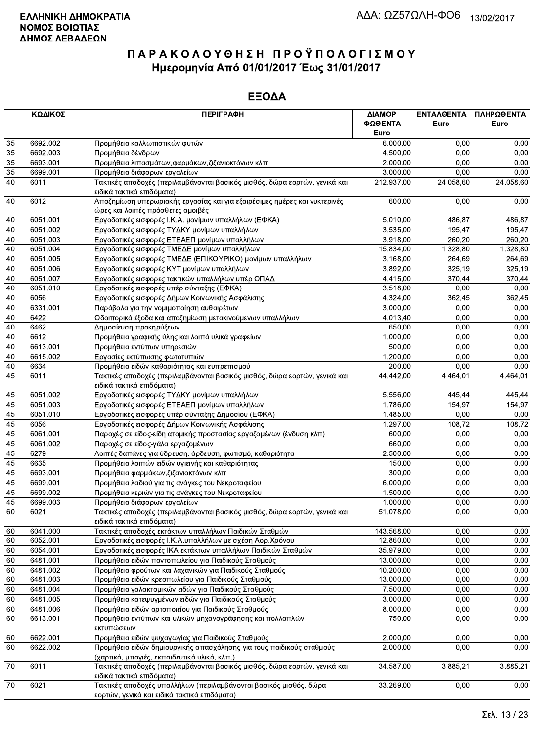| ΚΩΔΙΚΟΣ |          | <b>ПЕРІГРАФН</b>                                                                                                   | ΔΙΑΜΟΡ     | <b>ENTAAGENTA</b> | ΠΛΗΡΩΘΕΝΤΑ |
|---------|----------|--------------------------------------------------------------------------------------------------------------------|------------|-------------------|------------|
|         |          |                                                                                                                    | ΦΩΘΕΝΤΑ    | Euro              | Euro       |
|         |          |                                                                                                                    | Euro       |                   |            |
| 35      | 6692.002 | Προμήθεια καλλωπιστικών φυτών                                                                                      | 6.000,00   | 0,00              | 0,00       |
| 35      | 6692.003 | Προμήθεια δένδρων                                                                                                  | 4.500,00   | 0.00              | 0,00       |
| 35      | 6693.001 | Προμήθεια λιπασμάτων, φαρμάκων, ζιζανιοκτόνων κλπ                                                                  | 2.000,00   | 0,00              | 0,00       |
| 35      | 6699.001 | Προμήθεια διάφορων εργαλείων                                                                                       | 3.000,00   | 0,00              | 0,00       |
| 40      | 6011     | Τακτικές αποδοχές (περιλαμβάνονται βασικός μισθός, δώρα εορτών, γενικά και<br>ειδικά τακτικά επιδόματα)            | 212.937,00 | 24.058,60         | 24.058,60  |
| 40      | 6012     | Αποζημίωση υπερωριακής εργασίας και για εξαιρέσιμες ημέρες και νυκτερινές<br>ώρες και λοιπές πρόσθετες αμοιβές     | 600.00     | 0,00              | 0,00       |
| 40      | 6051.001 | Εργοδοτικές εισφορές Ι.Κ.Α. μονίμων υπαλλήλων (ΕΦΚΑ)                                                               | 5.010,00   | 486,87            | 486,87     |
| 40      | 6051.002 | Εργοδοτικές εισφορές ΤΥΔΚΥ μονίμων υπαλλήλων                                                                       | 3.535,00   | 195,47            | 195,47     |
| 40      | 6051.003 | Εργοδοτικές εισφορές ΕΤΕΑΕΠ μονίμων υπαλλήλων                                                                      | 3.918,00   | 260,20            | 260,20     |
| 40      | 6051.004 | Εργοδοτικές εισφορές ΤΜΕΔΕ μονίμων υπαλλήλων                                                                       | 15.834,00  | 1.328,80          | 1.328,80   |
| 40      | 6051.005 | Εργοδοτικές εισφορές ΤΜΕΔΕ (ΕΠΙΚΟΥΡΙΚΟ) μονίμων υπαλλήλων                                                          | 3.168,00   | 264,69            | 264,69     |
| 40      | 6051.006 | Εργοδοτικές εισφορές ΚΥΤ μονίμων υπαλλήλων                                                                         | 3.892,00   | 325,19            | 325,19     |
| 40      | 6051.007 | Εργοδοτικές εισφορες τακτικών υπαλλήλων υπέρ ΟΠΑΔ                                                                  | 4.415,00   | 370,44            | 370,44     |
| 40      | 6051.010 | Εργοδοτικές εισφορές υπέρ σύνταξης (ΕΦΚΑ)                                                                          | 3.518,00   | 0,00              | 0,00       |
| 40      | 6056     | Εργοδοτικές εισφορές Δήμων Κοινωνικής Ασφάλισης                                                                    | 4.324,00   | 362,45            | 362,45     |
| 40      | 6331.001 | Παράβολα για την νομιμοποίηση αυθαιρέτων                                                                           | 3.000,00   | 0,00              | 0,00       |
| 40      | 6422     | Οδοιπορικά έξοδα και αποζημίωση μετακινούμενων υπαλλήλων                                                           | 4.013,40   | 0,00              | 0,00       |
| 40      | 6462     | Δημοσίευση προκηρύξεων                                                                                             | 650,00     | 0.00              | 0,00       |
| 40      | 6612     | Προμήθεια γραφικής ύλης και λοιπά υλικά γραφείων                                                                   | 1.000,00   | 0,00              | 0,00       |
| 40      | 6613.001 | Προμήθεια εντύπων υπηρεσιών                                                                                        | 500,00     | 0,00              | 0,00       |
| 40      | 6615.002 | Εργασίες εκτύπωσης φωτοτυπιών                                                                                      | 1.200,00   | 0,00              | 0,00       |
| 40      | 6634     | Προμήθεια ειδών καθαριότητας και ευπρεπισμού                                                                       | 200,00     | 0,00              | 0,00       |
| 45      | 6011     | Τακτικές αποδοχές (περιλαμβάνονται βασικός μισθός, δώρα εορτών, γενικά και                                         | 44.442,00  | 4.464,01          | 4.464,01   |
|         |          | ειδικά τακτικά επιδόματα)                                                                                          |            |                   |            |
| 45      | 6051.002 | Εργοδοτικές εισφορές ΤΥΔΚΥ μονίμων υπαλλήλων                                                                       | 5.556,00   | 445,44            | 445,44     |
| 45      | 6051.003 | Εργοδοτικές εισφορές ΕΤΕΑΕΠ μονίμων υπαλλήλων                                                                      | 1.786,00   | 154,97            | 154,97     |
| 45      | 6051.010 | Εργοδοτικές εισφορές υπέρ σύνταξης Δημοσίου (ΕΦΚΑ)                                                                 | 1.485,00   | 0,00              | 0,00       |
| 45      | 6056     | Εργοδοτικές εισφορές Δήμων Κοινωνικής Ασφάλισης                                                                    | 1.297,00   | 108,72            | 108,72     |
| 45      | 6061.001 | Παροχές σε είδος-είδη ατομικής προστασίας εργαζομένων (ένδυση κλπ)                                                 | 600,00     | 0,00              | 0,00       |
| 45      | 6061.002 | Παροχές σε είδος-γάλα εργαζομένων                                                                                  | 660,00     | 0.00              | 0,00       |
| 45      | 6279     | Λοιπές δαπάνες για ύδρευση, άρδευση, φωτισμό, καθαριότητα                                                          | 2.500,00   | 0,00              | 0,00       |
| 45      | 6635     | Προμήθεια λοιπών ειδών υγιεινής και καθαριότητας                                                                   | 150.00     | 0.00              | 0,00       |
| 45      | 6693.001 | Προμήθεια φαρμάκων, ζιζανιοκτόνων κλπ                                                                              | 300,00     | 0,00              | 0,00       |
| 45      | 6699.001 | Προμήθεια λαδιού για τις ανάγκες του Νεκροταφείου                                                                  | 6.000,00   | 0,00              | 0,00       |
| 45      | 6699.002 | Προμήθεια κεριών για τις ανάγκες του Νεκροταφείου                                                                  | 1.500,00   | 0,00              | 0,00       |
| 45      | 6699.003 | Προμήθεια διάφορων εργαλείων                                                                                       | 1.000,00   | 0,00              | 0,00       |
| 60      | 6021     | Τακτικές αποδοχές (περιλαμβάνονται βασικός μισθός, δώρα εορτών, γενικά και<br>ειδικά τακτικά επιδόματα)            | 51.078,00  | 0,00              | 0,00       |
| 60      | 6041.000 | Τακτικές αποδοχές εκτάκτων υπαλλήλων Παιδικών Σταθμών                                                              | 143.568,00 | 0,00              | 0,00       |
| 60      | 6052.001 | Εργοδοτικές εισφορές Ι.Κ.Α.υπαλλήλων με σχέση Αορ.Χρόνου                                                           | 12.860,00  | 0,00              | 0,00       |
| 60      | 6054.001 | Εργοδοτικές εισφορές ΙΚΑ εκτάκτων υπαλλήλων Παιδικών Σταθμών                                                       | 35.979,00  | 0,00              | 0,00       |
| 60      | 6481.001 | Προμήθεια ειδών παντοπωλείου για Παιδικούς Σταθμούς                                                                | 13.000,00  | 0,00              | 0,00       |
| 60      | 6481.002 | Προμήθεια φρούτων και λαχανικών για Παιδικούς Σταθμούς                                                             | 10.200,00  | 0,00              | 0,00       |
| 60      | 6481.003 | Προμήθεια ειδών κρεοπωλείου για Παιδικούς Σταθμούς                                                                 | 13.000,00  | 0,00              | 0,00       |
| 60      | 6481.004 | Προμήθεια γαλακτομικών ειδών για Παιδικούς Σταθμούς                                                                | 7.500,00   | 0,00              | 0,00       |
| 60      | 6481.005 | Προμήθεια κατεψυγμένων ειδών για Παιδικούς Σταθμούς                                                                | 3.000,00   | 0,00              | 0,00       |
| 60      | 6481.006 | Προμήθεια ειδών αρτοποιείου για Παιδικούς Σταθμούς                                                                 | 8.000,00   | 0,00              | 0,00       |
| 60      | 6613.001 | Προμήθεια εντύπων και υλικών μηχανογράφησης και πολλαπλών<br>εκτυπώσεων                                            | 750,00     | 0,00              | 0,00       |
| 60      | 6622.001 | Προμήθεια ειδών ψυχαγωγίας για Παιδικούς Σταθμούς                                                                  | 2.000,00   | 0,00              | 0,00       |
| 60      | 6622.002 | Προμήθεια ειδών δημιουργικής απασχόλησης για τους παιδικούς σταθμούς                                               | 2.000,00   | 0,00              | 0,00       |
|         |          | (χαρτικά, μπογιές, εκπαιδευτικό υλικό, κλπ.)                                                                       |            |                   |            |
| 70      | 6011     | Τακτικές αποδοχές (περιλαμβάνονται βασικός μισθός, δώρα εορτών, γενικά και                                         | 34.587,00  | 3.885,21          | 3.885,21   |
|         |          | ειδικά τακτικά επιδόματα)                                                                                          |            |                   |            |
| 70      | 6021     | Τακτικές αποδοχές υπαλλήλων (περιλαμβάνονται βασικός μισθός, δώρα<br>εορτών, νενικά και ειδικά τακτικά επιδόματα). | 33.269,00  | 0,00              | 0,00       |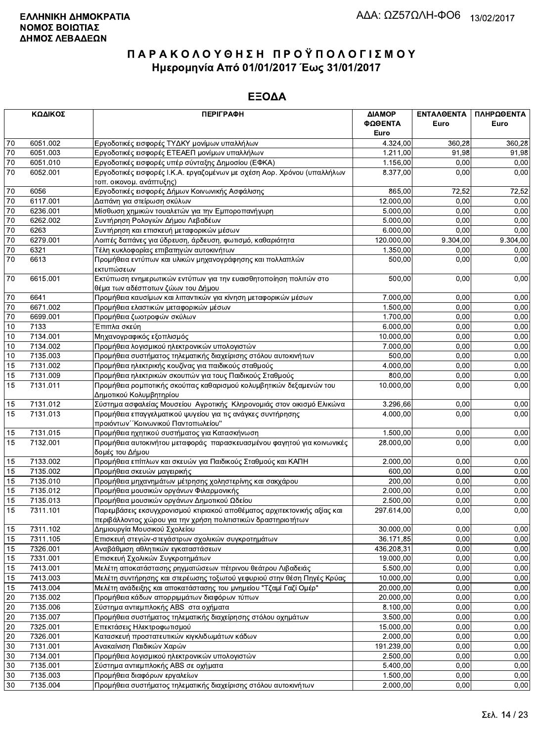|                 | ΚΩΔΙΚΟΣ              | <b>ПЕРІГРАФН</b>                                                                                                                          | ΔΙΑΜΟΡ<br>ΦΩΘΕΝΤΑ     | ΕΝΤΑΛΘΕΝΤΑ<br>Euro | ΠΛΗΡΩΘΕΝΤΑ<br>Euro |
|-----------------|----------------------|-------------------------------------------------------------------------------------------------------------------------------------------|-----------------------|--------------------|--------------------|
|                 |                      |                                                                                                                                           | Euro                  |                    |                    |
| 70              | 6051.002             | Εργοδοτικές εισφορές ΤΥΔΚΥ μονίμων υπαλλήλων                                                                                              | 4.324,00              | 360,28             | 360,28             |
| 70              | 6051.003             | Εργοδοτικές εισφορές ΕΤΕΑΕΠ μονίμων υπαλλήλων                                                                                             | 1.211,00              | 91,98              | 91,98              |
| $70\,$          | 6051.010             | Εργοδοτικές εισφορές υπέρ σύνταξης Δημοσίου (ΕΦΚΑ)                                                                                        | 1.156,00              | 0.00               | 0,00               |
| 70              | 6052.001             | Εργοδοτικές εισφορές Ι.Κ.Α. εργαζομένων με σχέση Αορ. Χρόνου (υπαλλήλων<br>τοπ. οικονομ. ανάπτυξης)                                       |                       | 0,00<br>8.377.00   | 0,00               |
| 70              | 6056                 | Εργοδοτικές εισφορές Δήμων Κοινωνικής Ασφάλισης                                                                                           | 865,00                | 72,52              | 72,52              |
| 70              | 6117.001             | Δαπάνη για στείρωση σκύλων                                                                                                                | 12.000,00             | 0,00               | 0,00               |
| 70              | 6236.001             | Μίσθωση χημικών τουαλετών για την Εμποροπανήγυρη                                                                                          | 5.000,00              | 0,00               | 0,00               |
| 70              | 6262.002             | Συντήρηση Ρολογιών Δήμου Λεβαδέων                                                                                                         | 5.000,00              | 0,00               | 0,00               |
| 70              | 6263                 | Συντήρηση και επισκευή μεταφορικών μέσων                                                                                                  | 6.000,00              | 0.00               | 0,00               |
| 70              | 6279.001             | Λοιπές δαπάνες για ύδρευση, άρδευση, φωτισμό, καθαριότητα                                                                                 | 120.000,00            | 9.304,00           | 9.304,00           |
| 70              | 6321                 | Τέλη κυκλοφορίας επιβατηγών αυτοκινήτων                                                                                                   | 1.350,00              | 0,00               | 0,00               |
| $\overline{70}$ | 6613                 | Προμήθεια εντύπων και υλικών μηχανογράφησης και πολλαπλών<br>εκτυπώσεων                                                                   | 500,00                | 0,00               | 0,00               |
| $70\,$          | 6615.001             | Εκτύπωση ενημερωτικών εντύπων για την ευαισθητοποίηση πολιτών στο<br>θέμα των αδέσποτων ζώων του Δήμου                                    | 500,00                | 0,00               | 0,00               |
| 70              | 6641                 | Προμήθεια καυσίμων και λιπαντικών για κίνηση μεταφορικών μέσων                                                                            | 7.000,00              | 0,00               | 0,00               |
| 70              | 6671.002             | Προμήθεια ελαστικών μεταφορικών μέσων                                                                                                     | 1.500,00              | 0,00               | 0,00               |
| 70              | 6699.001             | Προμήθεια ζωοτροφών σκύλων                                                                                                                | 1.700,00              | 0,00               | 0,00               |
| 10              | 7133                 | Έπιπλα σκεύη                                                                                                                              | 6.000,00              | 0,00               | 0,00               |
| 10              | 7134.001             | Μηχανογραφικός εξοπλισμός                                                                                                                 | 10.000,00             | 0,00               | 0,00               |
| 10              | 7134.002             | Προμήθεια λογισμικού ηλεκτρονικών υπολογιστών                                                                                             | 7.000,00              | 0,00               | 0,00               |
| 10              | 7135.003             | Προμήθεια συστήματος τηλεματικής διαχείρισης στόλου αυτοκινήτων                                                                           | 500,00                | 0,00               | 0,00               |
| 15              | 7131.002             | Προμήθεια ηλεκτρικής κουζίνας για παιδικούς σταθμούς                                                                                      | 4.000,00              | 0,00               | 0,00               |
| 15              | 7131.009             | Προμήθεια ηλεκτρικών σκουπών για τους Παιδικούς Σταθμούς                                                                                  | 800,00                | 0,00               | 0,00               |
| 15              | 7131.011             | Προμήθεια ρομποτικής σκούπας καθαρισμού κολυμβητικών δεξαμενών του<br>Δημοτικού Κολυμβητηρίου                                             | 10.000,00             | 0,00               | 0,00               |
| 15              | 7131.012             | Σύστημα ασφαλείας Μουσείου Αγροτικής Κληρονομιάς στον οικισμό Ελικώνα                                                                     | 3.296,66              | 0,00               | 0,00               |
| 15              | 7131.013             | Προμήθεια επαγγελματικού ψυγείου για τις ανάγκες συντήρησης<br>προιόντων "Κοινωνικού Παντοπωλείου"                                        | 4.000,00              | 0,00               | 0,00               |
| 15              | 7131.015             | Προμήθεια ηχητικού συστήματος για Κατασκήνωση                                                                                             | 1.500,00              | 0,00               | 0,00               |
| 15              | 7132.001             | Προμήθεια αυτοκινήτου μεταφοράς παρασκευασμένου φαγητού για κοινωνικές<br>δομές του Δήμου                                                 | 28.000,00             | 0,00               | 0,00               |
| 15              | 7133.002             | Προμήθεια επίπλων και σκευών για Παιδικούς Σταθμούς και ΚΑΠΗ                                                                              | 2.000,00              | 0,00               | 0,00               |
| 15              | 7135.002             | Προμήθεια σκευών μαγειρικής                                                                                                               | 600,00                | 0,00               | 0,00               |
| 15              | 7135.010             | Προμήθεια μηχανημάτων μέτρησης χοληστερίνης και σακχάρου                                                                                  | 200,00                | 0,00               | 0,00               |
| 15              | 7135.012             | Προμήθεια μουσικών οργάνων Φιλαρμονικής                                                                                                   | 2.000,00              | 0,00               | 0,00               |
| 15              | 7135.013             | Προμήθεια μουσικών οργάνων Δημοτικού Ωδείου                                                                                               | 2.500,00              | 0,00               | 0,00               |
| 15              | 7311.101             | Παρεμβάσεις εκσυγχρονισμού κτιριακού αποθέματος αρχιτεκτονικής αξίας και<br>περιβάλλοντος χώρου για την χρήση πολιτιστικών δραστηριοτήτων | 297.614,00            | 0.00               | 0,00               |
| 15              | 7311.102             | Δημιουργία Μουσικού Σχολείου                                                                                                              | 30.000,00             | 0,00               | 0,00               |
| 15              | 7311.105             | Επισκευή στεγών-στεγάστρων σχολικών συγκροτημάτων                                                                                         | 36.171,85             | 0,00               | 0,00               |
| 15              | 7326.001             | Αναβάθμιση αθλητικών εγκαταστάσεων                                                                                                        | 436.208,31            | 0,00               | 0,00               |
| 15              | 7331.001             | Επισκευή Σχολικών Συγκροτημάτων                                                                                                           | 19.000,00             | 0,00               | 0,00               |
| 15              | 7413.001             | Μελέτη αποκατάστασης ρηγματώσεων πέτρινου θεάτρου Λιβαδειάς                                                                               | 5.500,00              | 0,00               | 0,00               |
| 15              | 7413.003             | Μελέτη συντήρησης και στερέωσης τοξωτού γεφυριού στην θέση Πηγές Κρύας                                                                    | 10.000,00             | 0,00               | 0,00               |
| 15              | 7413.004             | Μελέτη ανάδειξης και αποκατάστασης του μνημείου "Τζαμί Γαζί Ομέρ"                                                                         | 20.000,00             | 0,00               | 0,00               |
| 20              | 7135.002             | Προμήθεια κάδων απορριμμάτων διαφόρων τύπων                                                                                               | 20.000,00             | 0,00               | 0,00               |
| 20              | 7135.006             | Σύστημα αντιεμπλοκής ABS στα οχήματα<br>Προμήθεια συστήματος τηλεματικής διαχείρησης στόλου οχημάτων                                      | 8.100,00              | 0,00<br>0,00       | 0,00<br>0,00       |
| 20<br>20        | 7135.007<br>7325.001 | Επεκτάσεις Ηλεκτροφωτισμού                                                                                                                | 3.500,00<br>15.000,00 | 0,00               | 0,00               |
| 20              | 7326.001             | Κατασκευή προστατευτικών κιγκλιδωμάτων κάδων                                                                                              | 2.000,00              | 0,00               | 0,00               |
| 30              | 7131.001             | Ανακαίνιση Παιδικών Χαρών                                                                                                                 | 191.239,00            | 0,00               | 0,00               |
| 30              | 7134.001             | Προμήθεια λογισμικού ηλεκτρονικών υπολογιστών                                                                                             | 2.500,00              | 0,00               | 0,00               |
| 30              | 7135.001             | Σύστημα αντιεμπλοκής ABS σε οχήματα                                                                                                       | 5.400,00              | 0,00               | 0,00               |
| 30              | 7135.003             | Προμήθεια διαφόρων εργαλείων                                                                                                              | 1.500,00              | 0,00               | 0,00               |
| 30              | 7135.004             | Προμήθεια συστήματος τηλεματικής διαχείρισης στόλου αυτοκινήτων                                                                           | 2.000,00              | 0,00               | 0,00               |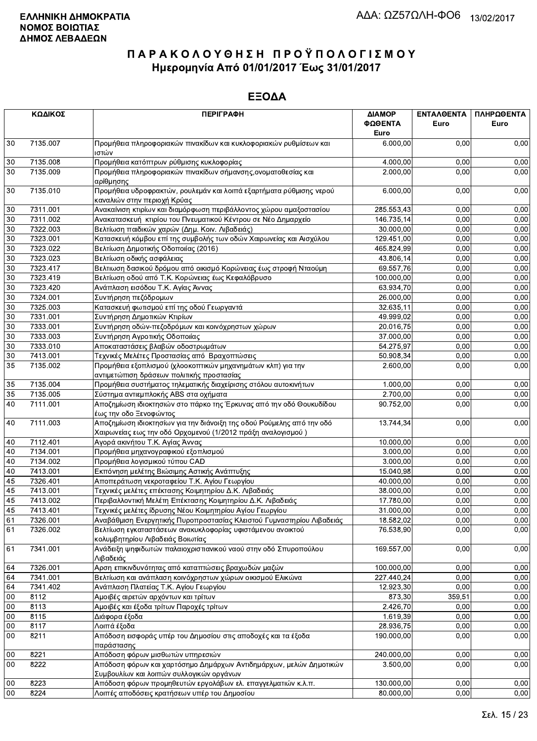|                 | ΚΩΔΙΚΟΣ  | <b>ПЕРІГРАФН</b>                                                                                                                     | ΔΙΑΜΟΡ<br>ΦΩΘΕΝΤΑ | ΕΝΤΑΛΘΕΝΤΑ<br>Euro | ΠΛΗΡΩΘΕΝΤΑ<br>Euro |
|-----------------|----------|--------------------------------------------------------------------------------------------------------------------------------------|-------------------|--------------------|--------------------|
|                 |          |                                                                                                                                      | Euro              |                    |                    |
| 30              | 7135.007 | Προμήθεια πληροφοριακών πινακίδων και κυκλοφοριακών ρυθμίσεων και<br>ιστών                                                           | 6.000,00          | 0,00               | 0,00               |
| $30\,$          | 7135.008 | Προμήθεια κατόπτρων ρύθμισης κυκλοφορίας                                                                                             | 4.000,00          | 0,00               | 0,00               |
| 30              | 7135.009 | Προμήθεια πληροφοριακών πινακίδων σήμανσης, ονοματοθεσίας και<br>αρίθμησης                                                           | 2.000,00          | 0,00               | 0,00               |
| 30              | 7135.010 | Προμήθεια υδροφρακτών, ρουλεμάν και λοιπά εξαρτήματα ρύθμισης νερού<br>καναλιών στην περιοχή Κρύας                                   | 6.000,00          | 0,00               | 0,00               |
| 30              | 7311.001 | Ανακαίνιση κτιρίων και διαμόρφωση περιβάλλοντος χώρου αμαξοστασίου                                                                   | 285.553,43        | 0,00               | 0,00               |
| 30              | 7311.002 | Ανακατασκευή κτιρίου του Πνευματικού Κέντρου σε Νέο Δημαρχείο                                                                        | 146.735,14        | 0,00               | 0,00               |
| 30              | 7322.003 | Βελτίωση παιδικών χαρών (Δημ. Κοιν. Λιβαδειάς)                                                                                       | 30.000,00         | 0,00               | 0,00               |
| $30\,$          | 7323.001 | Κατασκευή κόμβου επί της συμβολής των οδών Χαιρωνείας και Αισχύλου                                                                   | 129.451,00        | 0,00               | 0,00               |
| 30              | 7323.022 | Βελτίωση Δημοτικής Οδοποιίας (2016)                                                                                                  | 465.824,99        | 0,00               | 0,00               |
| 30              | 7323.023 | Βελτίωση οδικής ασφάλειας                                                                                                            | 43.806,14         | 0,00               | 0,00               |
| 30              | 7323.417 | Βελτιωση δασικού δρόμου από οικισμό Κορώνειας έως στροφή Νταούμη                                                                     | 69.557,76         | 0.00               | 0,00               |
| $30\,$          | 7323.419 | Βελτίωση οδού από Τ.Κ. Κορώνειας έως Κεφαλόβρυσο                                                                                     | 100.000,00        | 0,00               | 0,00               |
| 30              | 7323.420 | Ανάπλαση εισόδου Τ.Κ. Αγίας Άννας                                                                                                    | 63.934,70         | 0,00               | 0,00               |
| 30              | 7324.001 | Συντήρηση πεζόδρομων                                                                                                                 | 26.000,00         | 0,00               | 0,00               |
| 30              | 7325.003 | Κατασκευή φωτισμού επί της οδού Γεωργαντά                                                                                            | 32.635,11         | 0,00               | 0,00               |
| $30\,$          | 7331.001 | Συντήρηση Δημοτικών Κτιρίων                                                                                                          | 49.999,02         | 0,00               | 0,00               |
| $30\,$          | 7333.001 | Συντήρηση οδών-πεζοδρόμων και κοινόχρηστων χώρων                                                                                     | 20.016,75         | 0,00               | 0,00               |
| $30\,$          | 7333.003 | Συντήρηση Αγροτικής Οδοποιίας                                                                                                        | 37.000,00         | 0,00               | 0,00               |
| $\overline{30}$ | 7333.010 | Αποκαταστάσεις βλαβών οδοστρωμάτων                                                                                                   | 54.275,97         | 0,00               | 0,00               |
| 30              | 7413.001 | Τεχνικές Μελέτες Προστασίας από Βραχοπτώσεις                                                                                         | 50.908,34         | 0,00               | 0,00               |
| 35              | 7135.002 | Προμήθεια εξοπλισμού (χλοοκοπτικών μηχανημάτων κλπ) για την<br>αντιμετώπιση δράσεων πολιτικής προστασίας                             | 2.600,00          | 0,00               | 0,00               |
| 35              | 7135.004 | Προμήθεια συστήματος τηλεματικής διαχείρισης στόλου αυτοκινήτων                                                                      | 1.000,00          | 0,00               | 0,00               |
| 35              | 7135.005 | Σύστημα αντιεμπλοκής ABS στα οχήματα                                                                                                 | 2.700,00          | 0,00               | 0,00               |
| 40              | 7111.001 | Αποζημίωση ιδιοκτησιών στο πάρκο της Έρκυνας από την οδό Θουκυδίδου<br>έως την οδο Ξενοφώντος                                        | 90.752,00         | 0,00               | 0,00               |
| 40              | 7111.003 | Αποζημίωση ιδιοκτησίων για την διάνοιξη της οδού Ρούμελης από την οδό<br>Χαιρωνείας εως την οδό Ορχομενού (1/2012 πράξη αναλογισμού) | 13.744,34         | 0,00               | 0,00               |
| 40              | 7112.401 | Αγορά ακινήτου Τ.Κ. Αγίας Άννας                                                                                                      | 10.000,00         | 0,00               | 0,00               |
| 40              | 7134.001 | Προμήθεια μηχανογραφικού εξοπλισμού                                                                                                  | 3.000,00          | 0.00               | 0,00               |
| 40              | 7134.002 | Προμήθεια λογισμικού τύπου CAD                                                                                                       | 3,000,00          | 0,00               | 0,00               |
| 40              | 7413.001 | Εκπόνηση μελέτης Βιώσιμης Αστικής Ανάπτυξης                                                                                          | 15.040,98         | 0,00               | 0,00               |
| 45              | 7326.401 | Αποπεράτωση νεκροταφείου Τ.Κ. Αγίου Γεωργίου                                                                                         | 40.000,00         | 0,00               | 0,00               |
| 45              | 7413.001 | Τεχνικές μελέτες επέκτασης Κοιμητηρίου Δ.Κ. Λιβαδειάς                                                                                | 38.000,00         | 0,00               | 0,00               |
| 45              | 7413.002 | Περιβαλλοντική Μελέτη Επέκτασης Κοιμητηρίου Δ.Κ. Λιβαδειάς                                                                           | 17.780,00         | 0,00               | 0,00               |
| 45              | 7413.401 | Τεχνικές μελέτες ίδρυσης Νέου Κοιμητηρίου Αγίου Γεωργίου                                                                             | 31.000,00         | 0.00               | 0,00               |
| 61              | 7326.001 | Αναβάθμιση Ενεργητικής Πυροπροστασίας Κλειστού Γυμναστηρίου Λιβαδειάς                                                                | 18.582,02         | 0,00               | 0,00               |
| 61              | 7326.002 | Βελτίωση εγκαταστάσεων ανακυκλοφορίας υφιστάμενου ανοικτού<br>κολυμβητηρίου Λιβαδειάς Βοιωτίας                                       | 76.538,90         | 0,00               | 0,00               |
| 61              | 7341.001 | Ανάδειξη ψηφιδωτών παλαιοχριστιανικού ναού στην οδό Σπυροπούλου<br>Λιβαδειάς                                                         | 169.557,00        | 0,00               | 0,00               |
| 64              | 7326.001 | Αρση επικινδυνότητας από καταπτώσεις βραχωδών μαζών                                                                                  | 100.000,00        | 0,00               | 0,00               |
| 64              | 7341.001 | Βελτίωση και ανάπλαση κοινόχρηστων χώρων οικισμού Ελικώνα                                                                            | 227.440,24        | 0,00               | 0,00               |
| 64              | 7341.402 | Ανάπλαση Πλατείας Τ.Κ. Αγίου Γεωργίου                                                                                                | 12.923,30         | 0,00               | 0,00               |
| 00              | 8112     | Αμοιβές αιρετών αρχόντων και τρίτων                                                                                                  | 873,30            | 359,51             | 0,00               |
| $00\,$          | 8113     | Αμοιβές και έξοδα τρίτων Παροχές τρίτων                                                                                              | 2.426,70          | 0,00               | 0,00               |
| 00              | 8115     | Διάφορα έξοδα                                                                                                                        | 1.619,39          | 0,00               | 0,00               |
| 00              | 8117     | Λοιπά έξοδα                                                                                                                          | 28.936,75         | 0,00               | 0,00               |
| 00              | 8211     | Απόδοση εισφοράς υπέρ του Δημοσίου στις αποδοχές και τα έξοδα<br>παράστασης                                                          | 190.000,00        | 0,00               | 0,00               |
| 00              | 8221     | Απόδοση φόρων μισθωτών υπηρεσιών                                                                                                     | 240.000,00        | 0,00               | 0,00               |
| 00              | 8222     | Απόδοση φόρων και χαρτόσημο Δημάρχων Αντιδημάρχων, μελών Δημοτικών<br>Συμβουλίων και λοιπών συλλογικών οργάνων                       | 3.500,00          | 0,00               | 0,00               |
| $00\,$          | 8223     | Απόδοση φόρων προμηθευτών εργολάβων ελ. επαγγελματιών κ.λ.π.                                                                         | 130.000,00        | 0,00               | 0,00               |
| 00              | 8224     | Λοιπές αποδόσεις κρατήσεων υπέρ του Δημοσίου                                                                                         | 80.000,00         | 0,00               | 0,00               |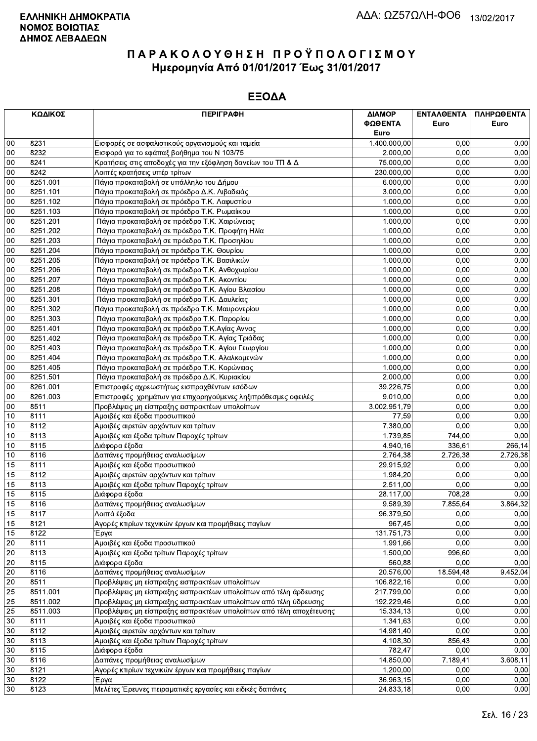|                 | ΚΩΔΙΚΟΣ  | <b>ПЕРІГРАФН</b>                                                   | ΔΙΑΜΟΡ<br>ΦΩΘΕΝΤΑ | ΕΝΤΑΛΘΕΝΤΑ<br>Euro | ΠΛΗΡΩΘΕΝΤΑ<br>Euro |
|-----------------|----------|--------------------------------------------------------------------|-------------------|--------------------|--------------------|
|                 |          |                                                                    | Euro              |                    |                    |
| 00              | 8231     | Εισφορές σε ασφαλιστικούς οργανισμούς και ταμεία                   | 1.400.000,00      | 0.00               | 0,00               |
| 00              | 8232     | Εισφορά για το εφάπαξ βοήθημα του Ν 103/75                         | 2.000,00          | 0,00               | 0,00               |
| 00              | 8241     | Κρατήσεις στις αποδοχές για την εξόφληση δανείων του ΤΠ & Δ        | 75.000,00         | 0,00               | 0,00               |
| 00              | 8242     | Λοιπές κρατήσεις υπέρ τρίτων                                       | 230.000,00        | 0,00               | 0,00               |
| 00              | 8251.001 | Πάγια προκαταβολή σε υπάλληλο του Δήμου                            | 6.000,00          | 0,00               | 0,00               |
| 00              | 8251.101 | Πάγια προκαταβολή σε πρόεδρο Δ.Κ. Λιβαδειάς                        | 3.000,00          | 0,00               | 0,00               |
| 00              | 8251.102 | Πάγια προκαταβολή σε πρόεδρο Τ.Κ. Λαφυστίου                        | 1.000,00          | 0,00               | 0,00               |
| 00              | 8251.103 | Πάγια προκαταβολή σε πρόεδρο Τ.Κ. Ρωμαίικου                        | 1.000,00          | 0,00               | 0,00               |
| 00              | 8251.201 | Πάγια προκαταβολή σε πρόεδρο Τ.Κ. Χαιρώνειας                       | 1.000,00          | 0,00               | 0,00               |
| 00              | 8251.202 | Πάγια προκαταβολή σε πρόεδρο Τ.Κ. Προφήτη Ηλία                     | 1.000,00          | 0,00               | 0,00               |
| 00              | 8251.203 | Πάγια προκαταβολή σε πρόεδρο Τ.Κ. Προσηλίου                        | 1.000,00          | 0,00               | 0,00               |
| 00              | 8251.204 | Πάγια προκαταβολή σε πρόεδρο Τ.Κ. Θουρίου                          | 1.000,00          | 0,00               | 0,00               |
| 00              | 8251.205 | Πάγια προκαταβολή σε πρόεδρο Τ.Κ. Βασιλικών                        | 1.000,00          | 0,00               | 0,00               |
| 00              | 8251.206 | Πάγια προκαταβολή σε πρόεδρο Τ.Κ. Ανθοχωρίου                       | 1.000,00          | 0,00               | 0,00               |
| 00              | 8251.207 | Πάγια προκαταβολή σε πρόεδρο Τ.Κ. Ακοντίου                         | 1.000,00          | 0,00               | 0,00               |
| 00              | 8251.208 | Πάγια προκαταβολή σε πρόεδρο Τ.Κ. Αγίου Βλασίου                    | 1.000,00          | 0,00               | 0,00               |
| 00              | 8251.301 | Πάγια προκαταβολή σε πρόεδρο Τ.Κ. Δαυλείας                         | 1.000,00          | 0,00               | 0,00               |
| 00              | 8251.302 | Πάγια προκαταβολή σε πρόεδρο Τ.Κ. Μαυρονερίου                      | 1.000,00          | 0,00               | 0,00               |
| 00              | 8251.303 | Πάγια προκαταβολή σε πρόεδρο Τ.Κ. Παρορίου                         | 1.000,00          | 0,00               | 0,00               |
| 00              | 8251.401 | Πάγια προκαταβολή σε πρόεδρο Τ.Κ.Αγίας Αννας                       | 1.000,00          | 0,00               | 0,00               |
| 00              | 8251.402 | Πάγια προκαταβολή σε πρόεδρο Τ.Κ. Αγίας Τριάδας                    | 1.000,00          | 0,00               | 0,00               |
| 00              | 8251.403 | Πάγια προκαταβολή σε πρόεδρο Τ.Κ. Αγίου Γεωργίου                   | 1.000,00          | 0,00               | 0,00               |
| 00              | 8251.404 | Πάγια προκαταβολή σε πρόεδρο Τ.Κ. Αλαλκομενών                      | 1.000,00          | 0.00               | 0,00               |
| 00              | 8251.405 | Πάγια προκαταβολή σε πρόεδρο Τ.Κ. Κορώνειας                        | 1.000,00          | 0,00               | 0,00               |
| 00              | 8251.501 | Πάγια προκαταβολή σε πρόεδρο Δ.Κ. Κυριακίου                        | 2.000,00          | 0,00               | 0,00               |
| 00              | 8261.001 | Επιστροφές αχρεωστήτως εισπραχθέντων εσόδων                        | 39.226,75         | 0,00               | 0,00               |
| $00\,$          | 8261.003 | Επιστροφές χρημάτων για επιχορηγούμενες ληξιπρόθεσμες οφειλές      | 9.010,00          | 0,00               | 0,00               |
| 00              | 8511     | Προβλέψεις μη είσπραξης εισπρακτέων υπολοίπων                      | 3.002.951,79      | 0.00               | 0,00               |
| 10              | 8111     | Αμοιβές και έξοδα προσωπικού                                       | 77,59             | 0,00               | 0,00               |
| 10              | 8112     | Αμοιβές αιρετών αρχόντων και τρίτων                                | 7.380,00          | 0,00               | 0,00               |
| 10              | 8113     | Αμοιβές και έξοδα τρίτων Παροχές τρίτων                            | 1.739,85          | 744,00             | 0,00               |
| 10              | 8115     | Διάφορα έξοδα                                                      | 4.940,16          | 336,61             | 266,14             |
| 10              | 8116     | Δαπάνες προμήθειας αναλωσίμων                                      | 2.764,38          | 2.726,38           | 2.726,38           |
| 15              | 8111     | Αμοιβές και έξοδα προσωπικού                                       | 29.915,92         | 0,00               | 0,00               |
| 15              | 8112     | Αμοιβές αιρετών αρχόντων και τρίτων                                | 1.984,20          | 0,00               | 0,00               |
| 15              | 8113     | Αμοιβές και έξοδα τρίτων Παροχές τρίτων                            | 2.511,00          | 0,00               | 0,00               |
| 15              | 8115     | Διάφορα έξοδα                                                      | 28.117,00         | 708,28             | 0,00               |
| 15              | 8116     | Δαπάνες προμήθειας αναλωσίμων                                      | 9.589,39          | 7.855,64           | 3.864,32           |
| $\overline{15}$ | 8117     | Λοιπά έξοδα                                                        | 96.379,50         | 0,00               | 0,00               |
| 15              | 8121     | Αγορές κτιρίων τεχνικών έργων και προμήθειες παγίων                | 967,45            | 0,00               | 0,00               |
| 15              | 8122     | Έργα                                                               | 131.751,73        | 0,00               | 0,00               |
| 20              | 8111     | Αμοιβές και έξοδα προσωπικού                                       | 1.991,66          | 0,00               | 0,00               |
| 20              | 8113     | Αμοιβές και έξοδα τρίτων Παροχές τρίτων                            | 1.500,00          | 996,60             | 0,00               |
| 20              | 8115     | Διάφορα έξοδα                                                      | 560,88            | 0,00               | 0,00               |
| 20              | 8116     | Δαπάνες προμήθειας αναλωσίμων                                      | 20.576,00         | 18.594,48          | 9.452,04           |
| 20              | 8511     | Προβλέψεις μη είσπραξης εισπρακτέων υπολοίπων                      | 106.822,16        | 0,00               | 0,00               |
| 25              | 8511.001 | Προβλέψεις μη είσπραξης εισπρακτέων υπολοίπων από τέλη άρδευσης    | 217.799,00        | 0,00               | 0,00               |
| 25              | 8511.002 | Προβλέψεις μη είσπραξης εισπρακτέων υπολοίπων από τέλη ύδρευσης    | 192.229,46        | 0,00               | 0,00               |
| 25              | 8511.003 | Προβλέψεις μη είσπραξης εισπρακτέων υπολοίπων από τέλη αποχέτευσης | 15.334,13         | 0,00               | 0,00               |
| 30              | 8111     | Αμοιβές και έξοδα προσωπικού                                       | 1.341,63          | 0,00               | 0,00               |
| 30              | 8112     | Αμοιβές αιρετών αρχόντων και τρίτων                                | 14.981,40         | 0,00               | 0,00               |
| 30              | 8113     | Αμοιβές και έξοδα τρίτων Παροχές τρίτων                            | 4.108,30          | 856,43             | 0,00               |
| 30              | 8115     | Διάφορα έξοδα                                                      | 782,47            | 0,00               | 0,00               |
| 30              | 8116     | Δαπάνες προμήθειας αναλωσίμων                                      | 14.850,00         | 7.189,41           | 3.608,11           |
| 30              | 8121     | Αγορές κτιρίων τεχνικών έργων και προμήθειες παγίων                | 1.200,00          | 0,00               | 0,00               |
| 30              | 8122     | Έργα                                                               | 36.963,15         | 0,00               | 0,00               |
| 30              | 8123     | Μελέτες Έρευνες πειραματικές εργασίες και ειδικές δαπάνες          | 24.833,18         | 0,00               | 0,00               |
|                 |          |                                                                    |                   |                    |                    |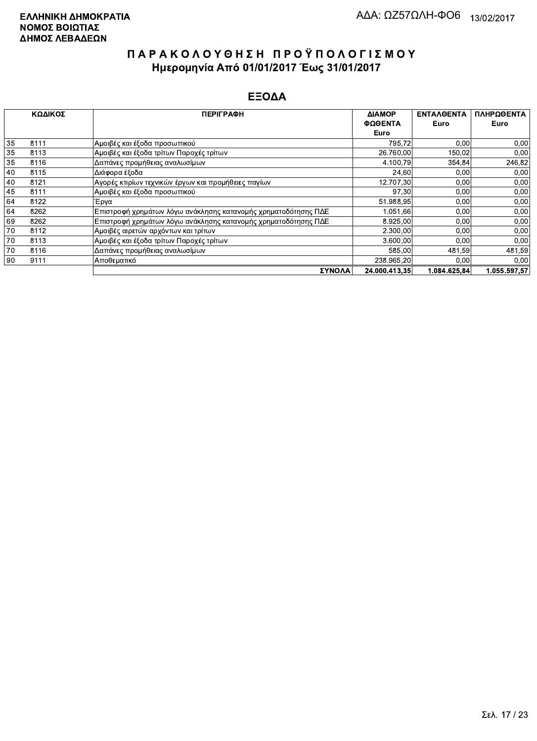|    | ΚΩΔΙΚΟΣ | <b>ПЕРІГРАФН</b>                                               | ΔΙΑΜΟΡ        | <b>ENTAAGENTA</b> | ΠΛΗΡΩΘΕΝΤΑ |
|----|---------|----------------------------------------------------------------|---------------|-------------------|------------|
|    |         |                                                                | ΦΩΘΕΝΤΑ       | Euro              | Euro       |
|    |         |                                                                | Euro          |                   |            |
| 35 | 8111    | Αμοιβές και έξοδα προσωπικού                                   | 795,72        | 0,00              | 0,00       |
| 35 | 8113    | Αμοιβές και έξοδα τρίτων Παροχές τρίτων                        | 26.760,00     | 150,02            | 0,00       |
| 35 | 8116    | Δαπάνες προμήθειας αναλωσίμων                                  | 4.100,79      | 354,84            | 246,82     |
| 40 | 8115    | Διάφορα έξοδα                                                  | 24,60         | 0,00              | 0,00       |
| 40 | 8121    | Αγορές κτιρίων τεχνικών έργων και προμήθειες παγίων            | 12.707,30     | 0,00              | 0,00       |
| 45 | 8111    | Αμοιβές και έξοδα προσωπικού                                   | 97,30         | 0,00              | 0,00       |
| 64 | 8122    | Έργα                                                           | 51.988,95     | 0,00              | 0,00       |
| 64 | 8262    | Επιστροφή χρημάτων λόγω ανάκλησης κατανομής χρηματοδότησης ΠΔΕ | 1.051,66      | 0,00              | 0,00       |
| 69 | 8262    | Επιστροφή χρημάτων λόγω ανάκλησης κατανομής χρηματοδότησης ΠΔΕ | 8.925,00      | 0,00              | 0,00       |
| 70 | 8112    | Αμοιβές αιρετών αρχόντων και τρίτων                            | 2.300,00      | 0,00              | 0,00       |
| 70 | 8113    | Αμοιβές και έξοδα τρίτων Παροχές τρίτων                        | 3.600,00      | 0,00              | 0,00       |
| 70 | 8116    | Δαπάνες προμήθειας αναλωσίμων                                  | 585.00        | 481,59            | 481,59     |
| 90 | 9111    | Αποθεματικό                                                    | 238.965,20    | 0,00              | 0.00       |
|    |         | <b><i>SYNOAA</i></b>                                           | 24.000.413.35 | 1.084.625.84      | 055.597.57 |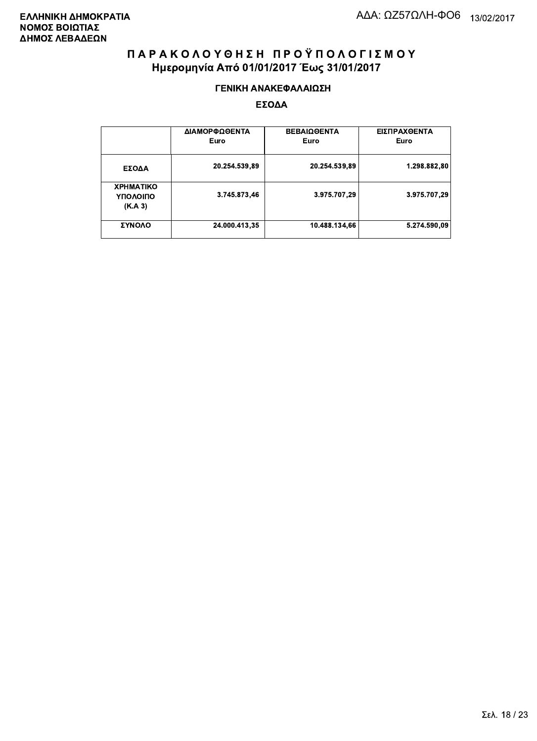#### ΓΕΝΙΚΗ ΑΝΑΚΕΦΑΛΑΙΩΣΗ

|                                         | ΔΙΑΜΟΡΦΩΘΕΝΤΑ<br>Euro | <b>ΒΕΒΑΙΩΘΕΝΤΑ</b><br>Euro | ΕΙΣΠΡΑΧΘΕΝΤΑ<br>Euro |
|-----------------------------------------|-----------------------|----------------------------|----------------------|
| ΕΣΟΔΑ                                   | 20.254.539,89         | 20.254.539,89              | 1.298.882,80         |
| <b>XPHMATIKO</b><br>ΥΠΟΛΟΙΠΟ<br>(K.A.3) | 3.745.873,46          | 3.975.707,29               | 3.975.707.29         |
| ΣΥΝΟΛΟ                                  | 24.000.413,35         | 10.488.134,66              | 5.274.590,09         |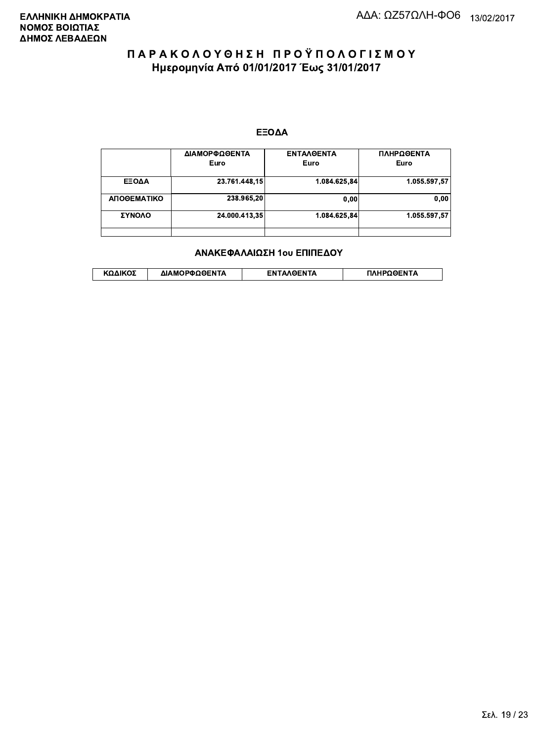#### ΕΞΟΔΑ

|             | ΔΙΑΜΟΡΦΩΘΕΝΤΑ<br>Euro | <b>ENTAAGENTA</b><br>Euro | ΠΛΗΡΩΘΕΝΤΑ<br>Euro |
|-------------|-----------------------|---------------------------|--------------------|
| ΕΞΟΔΑ       | 23.761.448,15         | 1.084.625,84              | 1.055.597.57       |
| ΑΠΟΘΕΜΑΤΙΚΟ | 238.965,20            | 0,00                      | 0.00               |
| ΣΥΝΟΛΟ      | 24.000.413,35         | 1.084.625.84              | 1.055.597.57       |
|             |                       |                           |                    |

#### ΑΝΑΚΕΦΑΛΑΙΩΣΗ 1ου ΕΠΙΠΕΔΟΥ

|  | λΔΙΚΟΣ | ΔΙΑΜΟΡΦΩΘΕΝΤΑ | <b>OENTA</b><br>FΝ | ΠΛΗΡΩΘΕΝΤΑ |
|--|--------|---------------|--------------------|------------|
|--|--------|---------------|--------------------|------------|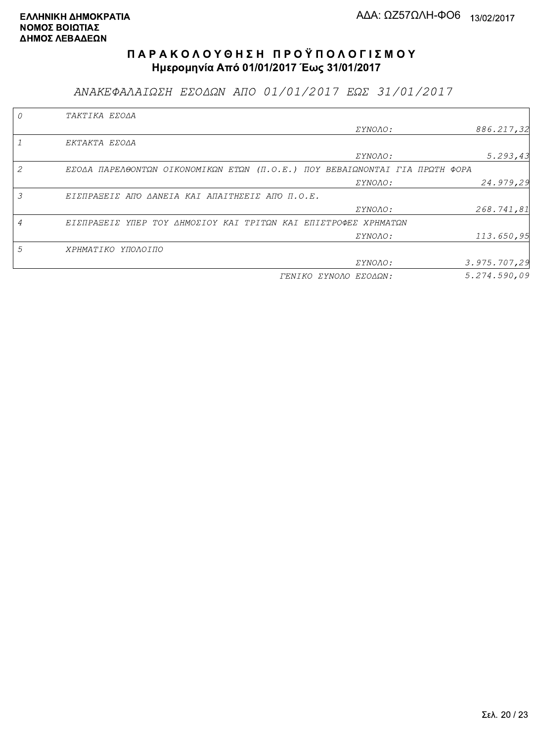ΑΝΑΚΕΦΑΛΑΙΩΣΗ ΕΣΟΔΩΝ ΑΠΟ 01/01/2017 ΕΩΣ 31/01/2017

|                | TAKTIKA EZOAA                                                               |                       |              |
|----------------|-----------------------------------------------------------------------------|-----------------------|--------------|
|                |                                                                             | <i>EYNOAO:</i>        | 886.217,32   |
|                | EKTAKTA EZOAA                                                               |                       |              |
|                |                                                                             | ΣΥΝΟΛΟ:               | 5.293, 43    |
| $\mathcal{L}$  | EΣΟΔΑ ΠΑΡΕΛΘΟΝΤΩΝ ΟΙΚΟΝΟΜΙΚΩΝ ΕΤΩΝ (Π.Ο.Ε.) ΠΟΥ ΒΕΒΑΙΩΝΟΝΤΑΙ ΓΙΑ ΠΡΩΤΗ ΦΟΡΑ |                       |              |
|                |                                                                             | ΣΥΝΟΛΟ:               | 24.979,29    |
| 3              | EIZNPASEIZ ANO AANEIA KAI ANAITHZEIZ ANO N.O.E.                             |                       |              |
|                |                                                                             | ΣΥΝΟΛΟ:               | 268.741,81   |
| $\overline{A}$ | ΕΙΣΠΡΑΞΕΙΣ ΥΠΕΡ ΤΟΥ ΔΗΜΟΣΙΟΥ ΚΑΙ ΤΡΙΤΩΝ ΚΑΙ ΕΠΙΣΤΡΟΦΕΣ ΧΡΗΜΑΤΩΝ             |                       |              |
|                |                                                                             | ΣΥΝΟΛΟ:               | 113.650,95   |
| 5              | ΧΡΗΜΑΤΙΚΟ ΥΠΟΛΟΙΠΟ                                                          |                       |              |
|                |                                                                             | <i>EYNOAO:</i>        | 3.975.707,29 |
|                |                                                                             | ΓΕΝΙΚΟ ΣΥΝΟΛΟ ΕΣΟΔΩΝ: | 5.274.590.09 |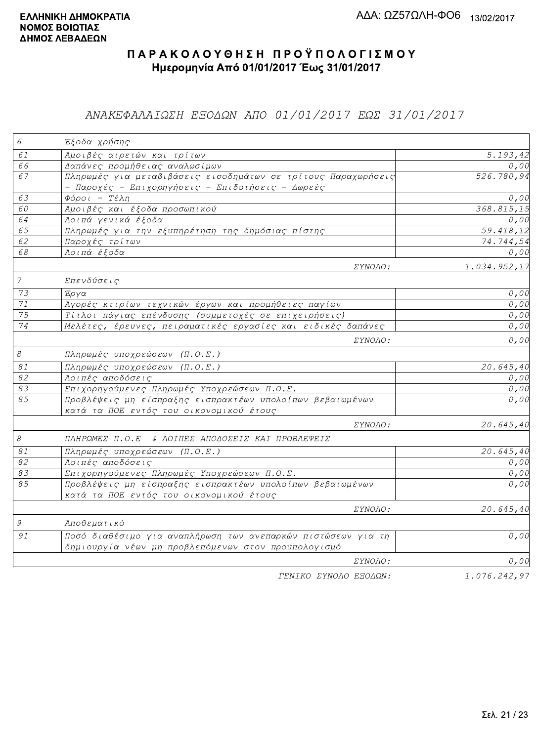## ΑΝΑΚΕΦΑΛΑΙΩΣΗ ΕΞΟΔΩΝ ΑΠΟ 01/01/2017 ΕΩΣ 31/01/2017

| 6              | Έξοδα χρήσης                                                                                                        |                       |
|----------------|---------------------------------------------------------------------------------------------------------------------|-----------------------|
| 61             | Αμοιβές αιρετών και τρίτων                                                                                          | $\overline{5.193,42}$ |
| 66             | Δαπάνες προμήθειας αναλωσίμων                                                                                       | 0,00                  |
| 67             | Πληρωμές για μεταβιβάσεις εισοδημάτων σε τρίτους Παραχωρήσεις<br>- Παροχές - Επιχορηγήσεις - Επιδοτήσεις - Δωρεές   | 526.780,94            |
| 63             | $\Phi$ όροι - Τέλη                                                                                                  | 0,00                  |
| 60             | Αμοιβές και έξοδα προσωπικού                                                                                        | 368.815,15            |
| 64             | Λοιπά γενικά έξοδα                                                                                                  | 0,00                  |
| 65             | Πληρωμές για την εξυπηρέτηση της δημόσιας πίστης                                                                    | 59.418,12             |
| 62             | Παροχές τρίτων                                                                                                      | 74.744,54             |
| 68             | Λοιπά έξοδα                                                                                                         | 0,00                  |
|                | <i>EYNOAO:</i>                                                                                                      | 1.034.952,17          |
| $\overline{7}$ | Επενδύσεις                                                                                                          |                       |
| 73             | Έργα                                                                                                                | 0,00                  |
| 71             | Αγορές κτιρίων τεχνικών έργων και προμήθειες παγίων                                                                 | 0,00                  |
| 75             | Τίτλοι πάγιας επένδυσης (συμμετοχές σε επιχειρήσεις)                                                                | 0,00                  |
| 74             | Μελέτες, έρευνες, πειραματικές εργασίες και ειδικές δαπάνες                                                         | 0,00                  |
|                | <i>EYNOAO:</i>                                                                                                      | 0,00                  |
| $\mathcal S$   | Πληρωμές υποχρεώσεων (Π.Ο.Ε.)                                                                                       |                       |
| $\mathcal{S}1$ | Πληρωμές υποχρεώσεων (Π.Ο.Ε.)                                                                                       | 20.645, 40            |
| 82             | Λοιπές αποδόσεις                                                                                                    | 0,00                  |
| 83             | Επιχορηγούμενες Πληρωμές Υποχρεώσεων Π.Ο.Ε.                                                                         | 0,00                  |
| 85             | Προβλέψεις μη είσπραξης εισπρακτέων υπολοίπων βεβαιωμένων<br>κατά τα ΠΟΕ εντός του οικονομικού έτους                | 0,00                  |
|                | ΣΥΝΟΛΟ:                                                                                                             | 20.645,40             |
| $\mathcal S$   | ΠΛΗΡΩΜΕΣ Π.Ο.Ε & ΛΟΙΠΕΣ ΑΠΟΔΟΣΕΙΣ ΚΑΙ ΠΡΟΒΛΕΨΕΙΣ                                                                    |                       |
| $\mathcal{S}1$ | Πληρωμές υποχρεώσεων (Π.Ο.Ε.)                                                                                       | 20.645,40             |
| 82             | Λοιπές αποδόσεις                                                                                                    | 0,00                  |
| 83             | Επιχορηγούμενες Πληρωμές Υποχρεώσεων Π.Ο.Ε.                                                                         | 0,00                  |
| 85             | Προβλέψεις μη είσπραξης εισπρακτέων υπολοίπων βεβαιωμένων<br>κατά τα ΠΟΕ εντός του οικονομικού έτους                | 0,00                  |
|                | <i>EYNOAO:</i>                                                                                                      | 20.645,40             |
| $\mathcal G$   | Αποθεματικό                                                                                                         |                       |
| 91             | Ποσό διαθέσιμο για αναπλήρωση των ανεπαρκών πιστώσεων για τη<br>δημιουργία νέων μη προβλεπόμενων στον προϋπολογισμό | 0,00                  |
|                | ΣΥΝΟΛΟ:                                                                                                             | 0,00                  |
|                | ΓΕΝΙΚΟ ΣΥΝΟΛΟ ΕΞΟΔΩΝ:                                                                                               | 1.076.242,97          |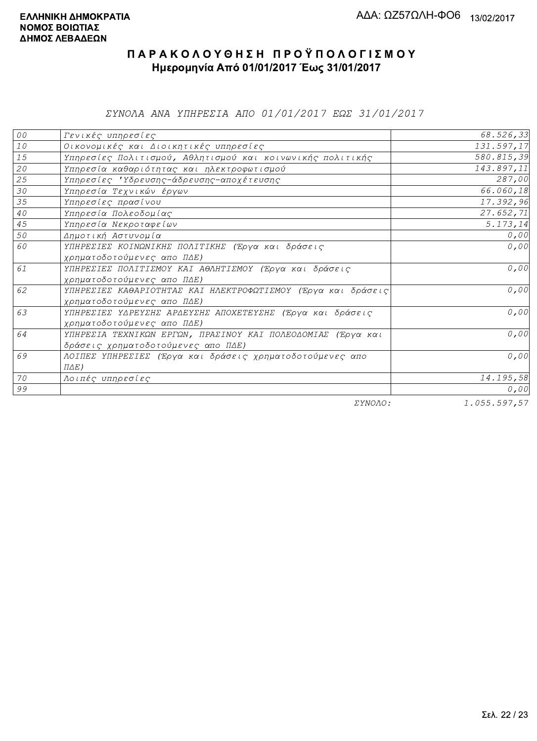ΣΥΝΟΛΑ ΑΝΑ ΥΠΗΡΕΣΙΑ ΑΠΟ 01/01/2017 ΕΩΣ 31/01/2017

| 00              | Γενικές υπηρεσίες                                             | 68.526,33    |
|-----------------|---------------------------------------------------------------|--------------|
| $10$            | Οικονομικές και Διοικητικές υπηρεσίες                         | 131.597,17   |
| 15              | Υπηρεσίες Πολιτισμού, Αθλητισμού και κοινωνικής πολιτικής     | 580.815,39   |
| 20              | Υπηρεσία καθαριότητας και ηλεκτροφωτισμού                     | 143.897,11   |
| 25              | Υπηρεσίες 'Υδρευσης-άδρευσης-αποχέτευσης                      | 287,00       |
| 30              | Υπηρεσία Τεχνικών έργων                                       | 66.060,18    |
| 35              | Υπηρεσίες πρασίνου                                            | 17.392,96    |
| 40 <sub>o</sub> | Υπηρεσία Πολεοδομίας                                          | 27.652,71    |
| 45              | Υπηρεσία Νεκροταφείων                                         | 5.173,14     |
| 50              | Δημοτική Αστυνομία                                            | 0,00         |
| 60              | ΥΠΗΡΕΣΙΕΣ ΚΟΙΝΩΝΙΚΗΣ ΠΟΛΙΤΙΚΗΣ (Έργα και δράσεις              | 0,00         |
|                 | χρηματοδοτούμενες απο ΠΔΕ)                                    |              |
| 61              | ΥΠΗΡΕΣΙΕΣ ΠΟΛΙΤΙΣΜΟΥ ΚΑΙ ΑΘΛΗΤΙΣΜΟΥ (Έργα και δράσεις         | 0,00         |
|                 | χρηματοδοτούμενες απο ΠΔΕ)                                    |              |
| 62              | ΥΠΗΡΕΣΙΕΣ ΚΑΘΑΡΙΟΤΗΤΑΣ ΚΑΙ ΗΛΕΚΤΡΟΦΩΤΙΣΜΟΥ (Έργα και δράσεις) | 0,00         |
|                 | χρηματοδοτούμενες απο ΠΔΕ)                                    |              |
| 63              | ΥΠΗΡΕΣΙΕΣ ΥΔΡΕΥΣΗΣ ΑΡΔΕΥΣΗΣ ΑΠΟΧΕΤΕΥΣΗΣ (Έργα και δράσεις     | 0,00         |
|                 | χρηματοδοτούμενες απο ΠΔΕ)                                    |              |
| 64              | ΥΠΗΡΕΣΙΑ ΤΕΧΝΙΚΩΝ ΕΡΓΩΝ, ΠΡΑΣΙΝΟΥ ΚΑΙ ΠΟΛΕΟΔΟΜΙΑΣ (Έργα και   | 0,00         |
|                 | δράσεις χρηματοδοτούμενες απο ΠΔΕ)                            |              |
| 69              | ΛΟΙΠΕΣ ΥΠΗΡΕΣΙΕΣ (Έργα και δράσεις χρηματοδοτούμενες απο      | 0,00         |
|                 | $\Pi \Delta E$ )                                              |              |
| 70              | Λοιπές υπηρεσίες                                              | 14.195,58    |
| 99              |                                                               | 0,00         |
|                 | $\Box$                                                        | 1 AFF FAT FT |

ΣΥΝΟΛΟ:

1.055.597,57